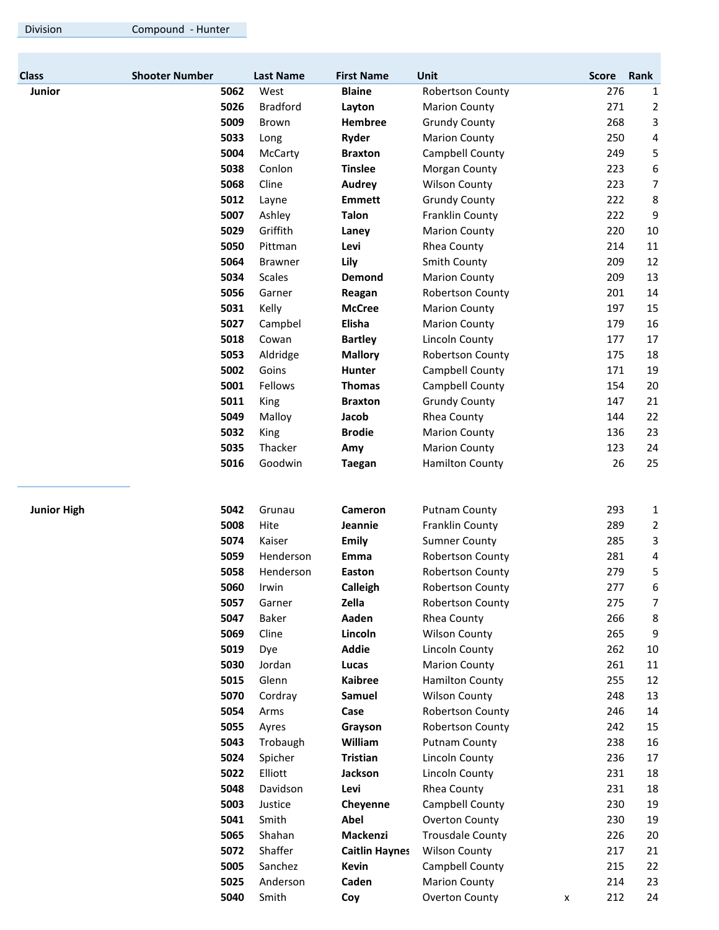| <b>Class</b>       | <b>Shooter Number</b> | <b>Last Name</b> | <b>First Name</b>     | Unit                    | <b>Score</b> | Rank           |
|--------------------|-----------------------|------------------|-----------------------|-------------------------|--------------|----------------|
| <b>Junior</b>      | 5062                  | West             | <b>Blaine</b>         | <b>Robertson County</b> | 276          | 1              |
|                    | 5026                  | <b>Bradford</b>  | Layton                | <b>Marion County</b>    | 271          | 2              |
|                    | 5009                  | Brown            | Hembree               | <b>Grundy County</b>    | 268          | 3              |
|                    | 5033                  | Long             | Ryder                 | <b>Marion County</b>    | 250          | 4              |
|                    | 5004                  | McCarty          | <b>Braxton</b>        | Campbell County         | 249          | 5              |
|                    | 5038                  | Conlon           | <b>Tinslee</b>        | Morgan County           | 223          | 6              |
|                    | 5068                  | Cline            | <b>Audrey</b>         | <b>Wilson County</b>    | 223          | $\overline{7}$ |
|                    | 5012                  | Layne            | <b>Emmett</b>         | <b>Grundy County</b>    | 222          | 8              |
|                    | 5007                  | Ashley           | <b>Talon</b>          | Franklin County         | 222          | 9              |
|                    | 5029                  | Griffith         | Laney                 | <b>Marion County</b>    | 220          | 10             |
|                    | 5050                  | Pittman          | Levi                  | Rhea County             | 214          | 11             |
|                    | 5064                  | <b>Brawner</b>   | Lily                  | Smith County            | 209          | 12             |
|                    | 5034                  | <b>Scales</b>    | Demond                | <b>Marion County</b>    | 209          | 13             |
|                    | 5056                  | Garner           | Reagan                | <b>Robertson County</b> | 201          | 14             |
|                    | 5031                  | Kelly            | <b>McCree</b>         | <b>Marion County</b>    | 197          | 15             |
|                    | 5027                  | Campbel          | Elisha                | <b>Marion County</b>    | 179          | 16             |
|                    | 5018                  | Cowan            | <b>Bartley</b>        | Lincoln County          | 177          | 17             |
|                    | 5053                  | Aldridge         | <b>Mallory</b>        | <b>Robertson County</b> | 175          | 18             |
|                    | 5002                  | Goins            | Hunter                | Campbell County         | 171          | 19             |
|                    | 5001                  | Fellows          | <b>Thomas</b>         | Campbell County         | 154          | 20             |
|                    | 5011                  | King             | <b>Braxton</b>        | <b>Grundy County</b>    | 147          | 21             |
|                    | 5049                  | Malloy           | Jacob                 | Rhea County             | 144          | 22             |
|                    | 5032                  | King             | <b>Brodie</b>         | <b>Marion County</b>    | 136          | 23             |
|                    | 5035                  | Thacker          | Amy                   | <b>Marion County</b>    | 123          | 24             |
|                    | 5016                  | Goodwin          | <b>Taegan</b>         | <b>Hamilton County</b>  | 26           | 25             |
|                    |                       |                  |                       |                         |              |                |
| <b>Junior High</b> | 5042                  | Grunau           | Cameron               | <b>Putnam County</b>    | 293          | 1              |
|                    | 5008                  | Hite             | Jeannie               | Franklin County         | 289          | 2              |
|                    | 5074                  | Kaiser           | <b>Emily</b>          | <b>Sumner County</b>    | 285          | 3              |
|                    | 5059                  | Henderson        | Emma                  | <b>Robertson County</b> | 281          | 4              |
|                    | 5058                  | Henderson        | Easton                | <b>Robertson County</b> | 279          | 5              |
|                    | 5060                  | Irwin            | Calleigh              | <b>Robertson County</b> | 277          | 6              |
|                    | 5057                  | Garner           | Zella                 | Robertson County        | 275          | $\overline{7}$ |
|                    | 5047                  | Baker            | Aaden                 | Rhea County             | 266          | 8              |
|                    | 5069                  | Cline            | Lincoln               | <b>Wilson County</b>    | 265          | 9              |
|                    | 5019                  | Dye              | <b>Addie</b>          | Lincoln County          | 262          | 10             |
|                    | 5030                  | Jordan           | Lucas                 | <b>Marion County</b>    | 261          | 11             |
|                    | 5015                  | Glenn            | <b>Kaibree</b>        | <b>Hamilton County</b>  | 255          | 12             |
|                    | 5070                  | Cordray          | Samuel                | <b>Wilson County</b>    | 248          | 13             |
|                    | 5054                  | Arms             | Case                  | <b>Robertson County</b> | 246          | 14             |
|                    | 5055                  | Ayres            | Grayson               | <b>Robertson County</b> | 242          | 15             |
|                    | 5043                  | Trobaugh         | William               | <b>Putnam County</b>    | 238          | 16             |
|                    | 5024                  | Spicher          | <b>Tristian</b>       | Lincoln County          | 236          | 17             |
|                    | 5022                  | Elliott          | Jackson               | Lincoln County          | 231          | 18             |
|                    | 5048                  | Davidson         | Levi                  | Rhea County             | 231          | 18             |
|                    | 5003                  | Justice          | Cheyenne              | Campbell County         | 230          | 19             |
|                    | 5041                  | Smith            | Abel                  | <b>Overton County</b>   | 230          | 19             |
|                    | 5065                  | Shahan           | Mackenzi              | <b>Trousdale County</b> | 226          | 20             |
|                    | 5072                  | Shaffer          | <b>Caitlin Haynes</b> | <b>Wilson County</b>    | 217          | 21             |
|                    | 5005                  | Sanchez          | <b>Kevin</b>          | Campbell County         | 215          | 22             |
|                    | 5025                  | Anderson         | Caden                 | <b>Marion County</b>    | 214          | 23             |

**5040** Smith **Coy** Overton County x 212 24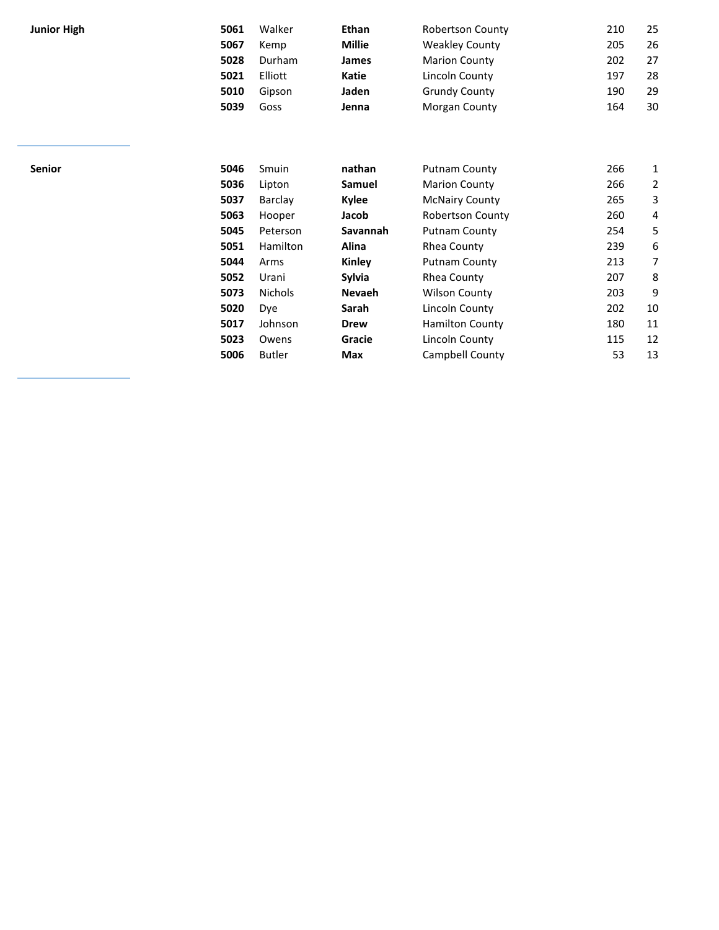| <b>Junior High</b> |  |
|--------------------|--|
|--------------------|--|

| Junior High | 5061 | Walker  | Ethan         | <b>Robertson County</b> | 210 | 25 |
|-------------|------|---------|---------------|-------------------------|-----|----|
|             | 5067 | Kemp    | <b>Millie</b> | <b>Weakley County</b>   | 205 | 26 |
|             | 5028 | Durham  | James         | <b>Marion County</b>    | 202 | 27 |
|             | 5021 | Elliott | Katie         | Lincoln County          | 197 | 28 |
|             | 5010 | Gipson  | Jaden         | <b>Grundy County</b>    | 190 | 29 |
|             | 5039 | Goss    | Jenna         | Morgan County           | 164 | 30 |

| Senior | 5046 | Smuin          | nathan        | <b>Putnam County</b>    | 266 | 1  |
|--------|------|----------------|---------------|-------------------------|-----|----|
|        | 5036 | Lipton         | Samuel        | <b>Marion County</b>    | 266 | 2  |
|        | 5037 | Barclay        | Kylee         | <b>McNairy County</b>   | 265 | 3  |
|        | 5063 | Hooper         | Jacob         | <b>Robertson County</b> | 260 | 4  |
|        | 5045 | Peterson       | Savannah      | <b>Putnam County</b>    | 254 | 5  |
|        | 5051 | Hamilton       | Alina         | Rhea County             | 239 | 6  |
|        | 5044 | Arms           | Kinley        | <b>Putnam County</b>    | 213 | 7  |
|        | 5052 | Urani          | Sylvia        | Rhea County             | 207 | 8  |
|        | 5073 | <b>Nichols</b> | <b>Nevaeh</b> | <b>Wilson County</b>    | 203 | 9  |
|        | 5020 | Dye            | Sarah         | Lincoln County          | 202 | 10 |
|        | 5017 | Johnson        | <b>Drew</b>   | <b>Hamilton County</b>  | 180 | 11 |
|        | 5023 | Owens          | Gracie        | Lincoln County          | 115 | 12 |
|        | 5006 | <b>Butler</b>  | Max           | Campbell County         | 53  | 13 |
|        |      |                |               |                         |     |    |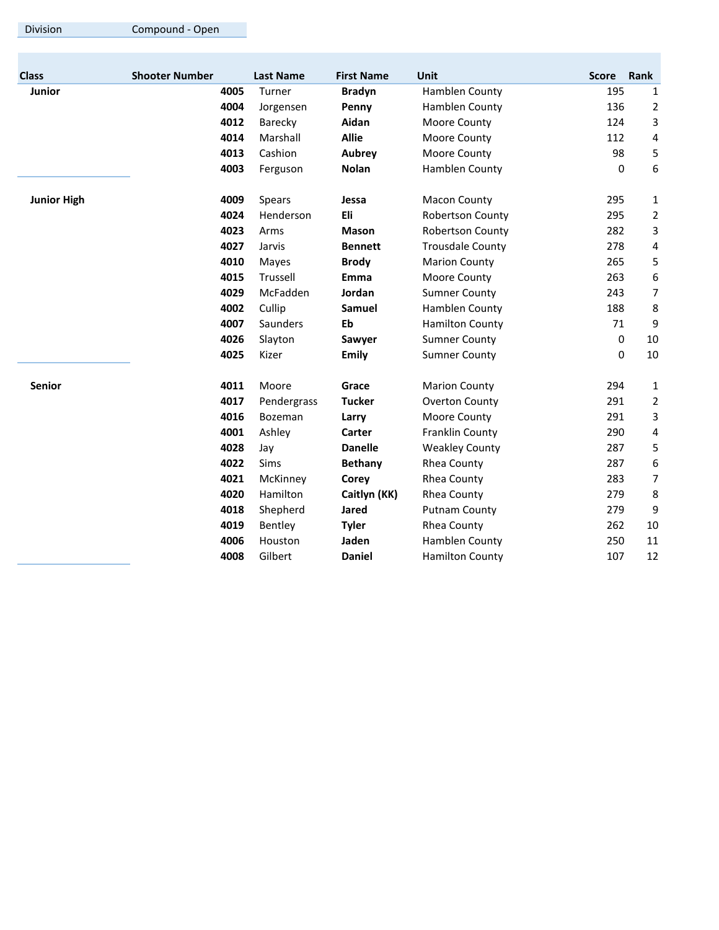|  | Division |  |
|--|----------|--|
|  |          |  |

**Division Compound - Open** 

| <b>Class</b>       | <b>Shooter Number</b> | <b>Last Name</b> | <b>First Name</b> | Unit                    | <b>Score</b> | Rank             |
|--------------------|-----------------------|------------------|-------------------|-------------------------|--------------|------------------|
| <b>Junior</b>      | 4005                  | Turner           | <b>Bradyn</b>     | Hamblen County          | 195          | $\mathbf{1}$     |
|                    | 4004                  | Jorgensen        | Penny             | Hamblen County          | 136          | $\overline{2}$   |
|                    | 4012                  | Barecky          | Aidan             | Moore County            | 124          | 3                |
|                    | 4014                  | Marshall         | <b>Allie</b>      | Moore County            | 112          | 4                |
|                    | 4013                  | Cashion          | Aubrey            | Moore County            | 98           | 5                |
|                    | 4003                  | Ferguson         | <b>Nolan</b>      | Hamblen County          | 0            | 6                |
| <b>Junior High</b> | 4009                  | Spears           | Jessa             | <b>Macon County</b>     | 295          | 1                |
|                    | 4024                  | Henderson        | Eli               | <b>Robertson County</b> | 295          | $\overline{2}$   |
|                    | 4023                  | Arms             | Mason             | Robertson County        | 282          | 3                |
|                    | 4027                  | Jarvis           | <b>Bennett</b>    | <b>Trousdale County</b> | 278          | 4                |
|                    | 4010                  | Mayes            | <b>Brody</b>      | <b>Marion County</b>    | 265          | 5                |
|                    | 4015                  | Trussell         | Emma              | Moore County            | 263          | 6                |
|                    | 4029                  | McFadden         | Jordan            | <b>Sumner County</b>    | 243          | 7                |
|                    | 4002                  | Cullip           | Samuel            | Hamblen County          | 188          | $\,8\,$          |
|                    | 4007                  | Saunders         | Eb                | <b>Hamilton County</b>  | 71           | $9\,$            |
|                    | 4026                  | Slayton          | Sawyer            | <b>Sumner County</b>    | 0            | 10               |
|                    | 4025                  | Kizer            | <b>Emily</b>      | <b>Sumner County</b>    | 0            | 10               |
| <b>Senior</b>      | 4011                  | Moore            | Grace             | <b>Marion County</b>    | 294          | 1                |
|                    | 4017                  | Pendergrass      | <b>Tucker</b>     | <b>Overton County</b>   | 291          | $\overline{2}$   |
|                    | 4016                  | Bozeman          | Larry             | Moore County            | 291          | 3                |
|                    | 4001                  | Ashley           | Carter            | Franklin County         | 290          | 4                |
|                    | 4028                  | Jay              | <b>Danelle</b>    | <b>Weakley County</b>   | 287          | 5                |
|                    | 4022                  | Sims             | <b>Bethany</b>    | Rhea County             | 287          | 6                |
|                    | 4021                  | McKinney         | Corey             | Rhea County             | 283          | $\overline{7}$   |
|                    | 4020                  | Hamilton         | Caitlyn (KK)      | Rhea County             | 279          | $\,8\,$          |
|                    | 4018                  | Shepherd         | <b>Jared</b>      | <b>Putnam County</b>    | 279          | $\boldsymbol{9}$ |
|                    | 4019                  | Bentley          | <b>Tyler</b>      | Rhea County             | 262          | 10               |
|                    | 4006                  | Houston          | Jaden             | Hamblen County          | 250          | 11               |
|                    | 4008                  | Gilbert          | <b>Daniel</b>     | <b>Hamilton County</b>  | 107          | 12               |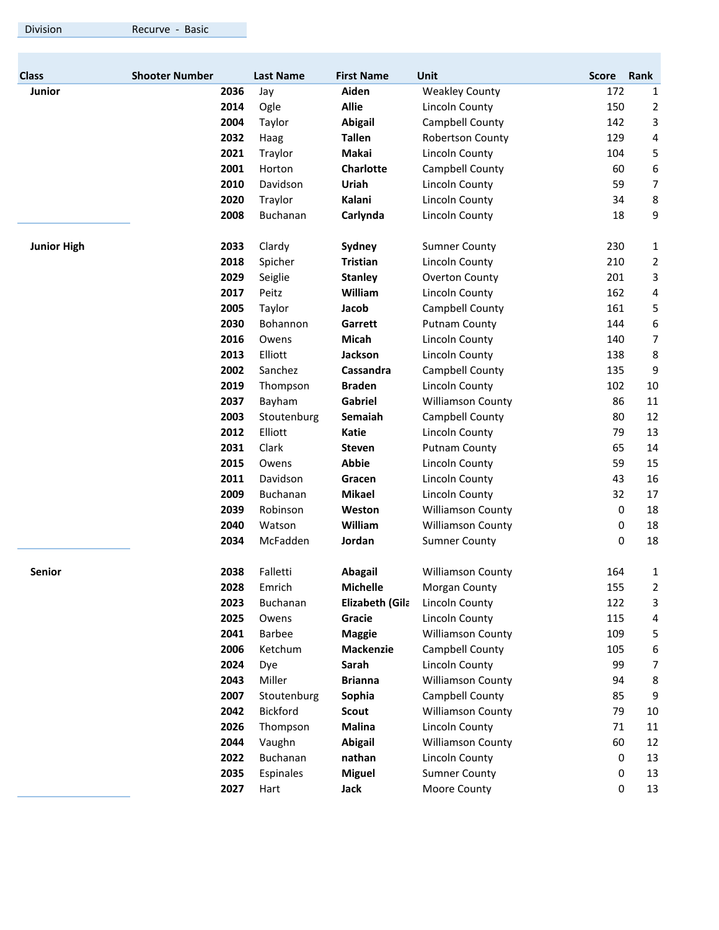|  | Division |  |
|--|----------|--|
|  |          |  |
|  |          |  |

ion Recurve - Basic

| <b>Class</b>       | <b>Shooter Number</b> | <b>Last Name</b> | <b>First Name</b> | Unit                     | <b>Score</b> | Rank                    |
|--------------------|-----------------------|------------------|-------------------|--------------------------|--------------|-------------------------|
| Junior             | 2036                  | Jay              | Aiden             | <b>Weakley County</b>    | 172          | 1                       |
|                    | 2014                  | Ogle             | <b>Allie</b>      | Lincoln County           | 150          | 2                       |
|                    | 2004                  | Taylor           | <b>Abigail</b>    | Campbell County          | 142          | 3                       |
|                    | 2032                  | Haag             | <b>Tallen</b>     | Robertson County         | 129          | 4                       |
|                    | 2021                  | Traylor          | Makai             | Lincoln County           | 104          | 5                       |
|                    | 2001                  | Horton           | Charlotte         | Campbell County          | 60           | 6                       |
|                    | 2010                  | Davidson         | Uriah             | Lincoln County           | 59           | 7                       |
|                    | 2020                  | Traylor          | Kalani            | Lincoln County           | 34           | 8                       |
|                    | 2008                  | Buchanan         | Carlynda          | Lincoln County           | 18           | 9                       |
| <b>Junior High</b> | 2033                  | Clardy           | Sydney            | <b>Sumner County</b>     | 230          | $\mathbf{1}$            |
|                    | 2018                  | Spicher          | <b>Tristian</b>   | Lincoln County           | 210          | $\overline{2}$          |
|                    | 2029                  | Seiglie          | <b>Stanley</b>    | Overton County           | 201          | 3                       |
|                    | 2017                  | Peitz            | William           | Lincoln County           | 162          | $\overline{\mathbf{4}}$ |
|                    | 2005                  | Taylor           | Jacob             | Campbell County          | 161          | 5                       |
|                    | 2030                  | Bohannon         | Garrett           | <b>Putnam County</b>     | 144          | 6                       |
|                    | 2016                  | Owens            | <b>Micah</b>      | Lincoln County           | 140          | 7                       |
|                    | 2013                  | Elliott          | Jackson           | Lincoln County           | 138          | 8                       |
|                    | 2002                  | Sanchez          | Cassandra         | Campbell County          | 135          | 9                       |
|                    | 2019                  | Thompson         | <b>Braden</b>     | Lincoln County           | 102          | 10                      |
|                    | 2037                  | Bayham           | Gabriel           | <b>Williamson County</b> | 86           | 11                      |
|                    | 2003                  | Stoutenburg      | Semaiah           | Campbell County          | 80           | 12                      |
|                    | 2012                  | Elliott          | <b>Katie</b>      | Lincoln County           | 79           | 13                      |
|                    | 2031                  | Clark            | <b>Steven</b>     | <b>Putnam County</b>     | 65           | 14                      |
|                    | 2015                  | Owens            | <b>Abbie</b>      | Lincoln County           | 59           | 15                      |
|                    | 2011                  | Davidson         | Gracen            | Lincoln County           | 43           | 16                      |
|                    | 2009                  | <b>Buchanan</b>  | <b>Mikael</b>     | Lincoln County           | 32           | 17                      |
|                    | 2039                  | Robinson         | Weston            | <b>Williamson County</b> | 0            | 18                      |
|                    | 2040                  | Watson           | William           | <b>Williamson County</b> | 0            | 18                      |
|                    | 2034                  | McFadden         | Jordan            | <b>Sumner County</b>     | 0            | 18                      |
| Senior             | 2038                  | Falletti         | <b>Abagail</b>    | <b>Williamson County</b> | 164          | 1                       |
|                    | 2028                  | Emrich           | Michelle          | Morgan County            | 155          | 2                       |
|                    | 2023                  | Buchanan         | Elizabeth (Gila   | Lincoln County           | 122          | 3                       |
|                    | 2025                  | Owens            | Gracie            | Lincoln County           | 115          | 4                       |
|                    | 2041                  | Barbee           | <b>Maggie</b>     | <b>Williamson County</b> | 109          | 5                       |
|                    | 2006                  | Ketchum          | <b>Mackenzie</b>  | Campbell County          | 105          | 6                       |
|                    | 2024                  | Dye              | Sarah             | Lincoln County           | 99           | 7                       |
|                    | 2043                  | Miller           | <b>Brianna</b>    | <b>Williamson County</b> | 94           | 8                       |
|                    | 2007                  | Stoutenburg      | Sophia            | Campbell County          | 85           | 9                       |
|                    | 2042                  | Bickford         | <b>Scout</b>      | <b>Williamson County</b> | 79           | $10\,$                  |
|                    | 2026                  | Thompson         | <b>Malina</b>     | Lincoln County           | 71           | $11\,$                  |
|                    | 2044                  | Vaughn           | <b>Abigail</b>    | <b>Williamson County</b> | 60           | 12                      |
|                    | 2022                  | Buchanan         | nathan            | Lincoln County           | 0            | 13                      |
|                    | 2035                  | Espinales        | <b>Miguel</b>     | <b>Sumner County</b>     | 0            | 13                      |
|                    | 2027                  | Hart             | Jack              | Moore County             | 0            | 13                      |
|                    |                       |                  |                   |                          |              |                         |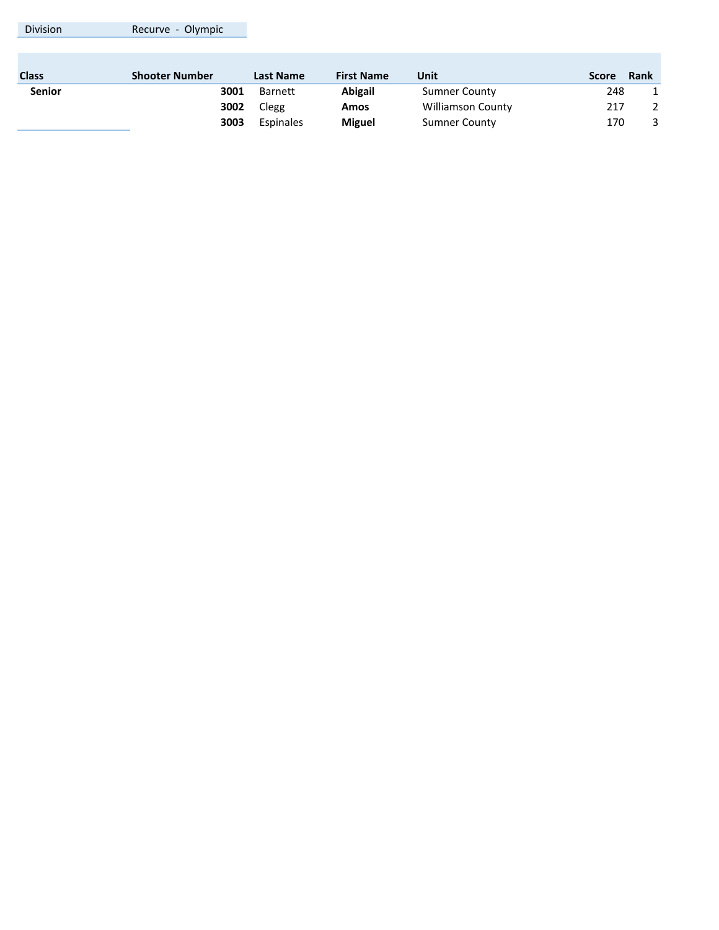| <b>Division</b> | Recurve - Olympic     |                  |                   |                          |       |             |
|-----------------|-----------------------|------------------|-------------------|--------------------------|-------|-------------|
|                 |                       |                  |                   |                          |       |             |
| <b>Class</b>    | <b>Shooter Number</b> | <b>Last Name</b> | <b>First Name</b> | Unit                     | Score | <b>Rank</b> |
| <b>Senior</b>   | 3001                  | <b>Barnett</b>   | <b>Abigail</b>    | <b>Sumner County</b>     | 248   |             |
|                 | 3002                  | Clegg            | Amos              | <b>Williamson County</b> | 217   | 2           |
|                 | 3003                  | Espinales        | <b>Miguel</b>     | <b>Sumner County</b>     | 170   | 3           |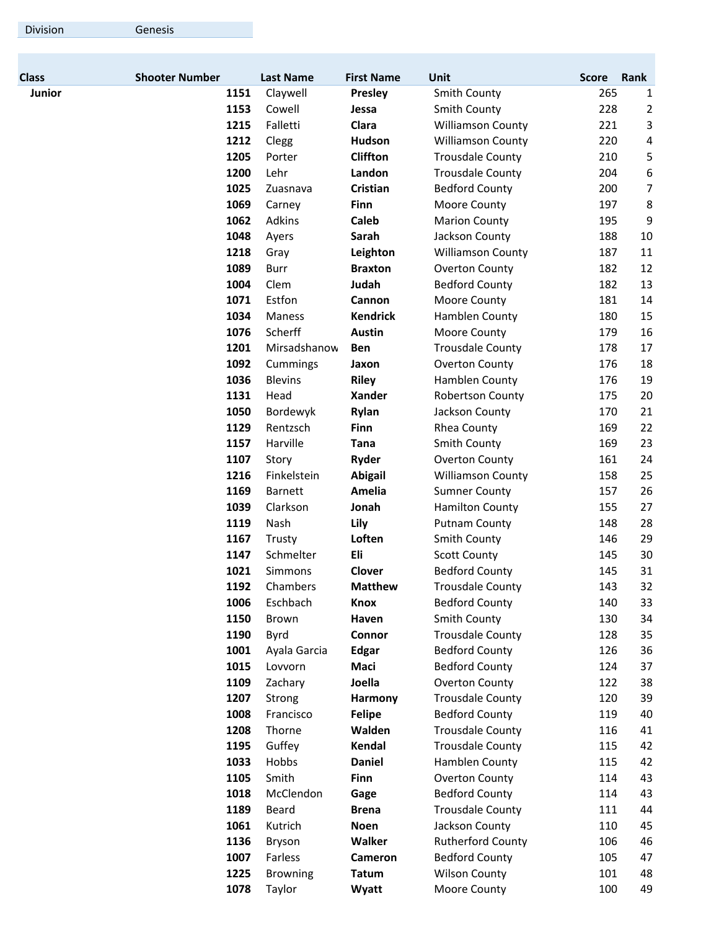| <b>Class</b>  | <b>Shooter Number</b> | <b>Last Name</b> | <b>First Name</b> | Unit                                               | <b>Score</b> | Rank           |
|---------------|-----------------------|------------------|-------------------|----------------------------------------------------|--------------|----------------|
| <b>Junior</b> | 1151                  | Claywell         | Presley           | Smith County                                       | 265          | 1              |
|               | 1153                  | Cowell           | Jessa             | Smith County                                       | 228          | $\overline{2}$ |
|               | 1215                  | Falletti         | Clara             | <b>Williamson County</b>                           | 221          | 3              |
|               | 1212                  | Clegg            | Hudson            | <b>Williamson County</b>                           | 220          | 4              |
|               | 1205                  | Porter           | Cliffton          | <b>Trousdale County</b>                            | 210          | 5              |
|               | 1200                  | Lehr             | Landon            | <b>Trousdale County</b>                            | 204          | 6              |
|               | 1025                  | Zuasnava         | Cristian          | <b>Bedford County</b>                              | 200          | 7              |
|               | 1069                  | Carney           | Finn              | Moore County                                       | 197          | 8              |
|               | 1062                  | Adkins           | Caleb             | <b>Marion County</b>                               | 195          | 9              |
|               | 1048                  | Ayers            | Sarah             | Jackson County                                     | 188          | 10             |
|               | 1218                  | Gray             | Leighton          | <b>Williamson County</b>                           | 187          | 11             |
|               | 1089                  | <b>Burr</b>      | <b>Braxton</b>    | Overton County                                     | 182          | 12             |
|               | 1004                  | Clem             | Judah             | <b>Bedford County</b>                              | 182          | 13             |
|               | 1071                  | Estfon           | Cannon            | Moore County                                       | 181          | 14             |
|               | 1034                  | Maness           | <b>Kendrick</b>   | Hamblen County                                     | 180          | 15             |
|               | 1076                  | Scherff          | <b>Austin</b>     | Moore County                                       | 179          | 16             |
|               | 1201                  | Mirsadshanow     | <b>Ben</b>        | <b>Trousdale County</b>                            | 178          | 17             |
|               | 1092                  | Cummings         | Jaxon             | <b>Overton County</b>                              | 176          | 18             |
|               | 1036                  | <b>Blevins</b>   | <b>Riley</b>      | Hamblen County                                     | 176          | 19             |
|               | 1131                  | Head             | <b>Xander</b>     | <b>Robertson County</b>                            | 175          | 20             |
|               | 1050                  | Bordewyk         | Rylan             | Jackson County                                     | 170          | 21             |
|               | 1129                  | Rentzsch         | Finn              | Rhea County                                        | 169          | 22             |
|               | 1157                  | Harville         | Tana              | <b>Smith County</b>                                | 169          | 23             |
|               | 1107                  | Story            | <b>Ryder</b>      | <b>Overton County</b>                              | 161          | 24             |
|               | 1216                  | Finkelstein      | <b>Abigail</b>    | <b>Williamson County</b>                           | 158          | 25             |
|               | 1169                  | <b>Barnett</b>   | Amelia            | <b>Sumner County</b>                               | 157          | 26             |
|               | 1039                  | Clarkson         | Jonah             | <b>Hamilton County</b>                             | 155          | 27             |
|               | 1119                  | Nash             | Lily              | <b>Putnam County</b>                               | 148          | 28             |
|               | 1167                  | Trusty           | Loften            | Smith County                                       | 146          | 29             |
|               | 1147                  | Schmelter        | Eli               | <b>Scott County</b>                                | 145          | 30             |
|               | 1021                  | <b>Simmons</b>   | <b>Clover</b>     | <b>Bedford County</b>                              | 145          | 31             |
|               | 1192                  | Chambers         | <b>Matthew</b>    | <b>Trousdale County</b>                            | 143          | 32             |
|               | 1006                  | Eschbach         | Knox              | <b>Bedford County</b>                              | 140          | 33             |
|               | 1150                  | Brown            | Haven             | <b>Smith County</b>                                | 130          | 34             |
|               | 1190                  | Byrd             | Connor            | <b>Trousdale County</b>                            | 128          | 35             |
|               | 1001                  | Ayala Garcia     | <b>Edgar</b>      | <b>Bedford County</b>                              | 126          | 36             |
|               | 1015                  | Lovvorn          | Maci              | <b>Bedford County</b>                              | 124          | 37             |
|               | 1109                  | Zachary          | Joella            | <b>Overton County</b>                              | 122          | 38             |
|               | 1207                  | Strong           | Harmony           | <b>Trousdale County</b>                            | 120          | 39             |
|               | 1008                  | Francisco        | <b>Felipe</b>     | <b>Bedford County</b>                              | 119          | 40             |
|               | 1208                  | Thorne           | Walden            |                                                    | 116          | 41             |
|               | 1195                  | Guffey           | Kendal            | <b>Trousdale County</b><br><b>Trousdale County</b> | 115          | 42             |
|               |                       |                  |                   |                                                    |              |                |
|               | 1033                  | Hobbs            | <b>Daniel</b>     | Hamblen County                                     | 115          | 42             |
|               | 1105                  | Smith            | Finn              | Overton County                                     | 114          | 43             |
|               | 1018                  | McClendon        | Gage              | <b>Bedford County</b>                              | 114          | 43             |
|               | 1189                  | Beard            | <b>Brena</b>      | <b>Trousdale County</b>                            | 111          | 44             |
|               | 1061                  | Kutrich          | <b>Noen</b>       | Jackson County                                     | 110          | 45             |
|               | 1136                  | Bryson           | Walker            | <b>Rutherford County</b>                           | 106          | 46             |
|               | 1007                  | Farless          | Cameron           | <b>Bedford County</b>                              | 105          | 47             |
|               | 1225                  | <b>Browning</b>  | <b>Tatum</b>      | <b>Wilson County</b>                               | 101          | 48             |
|               | 1078                  | Taylor           | Wyatt             | Moore County                                       | 100          | 49             |

Division Genesis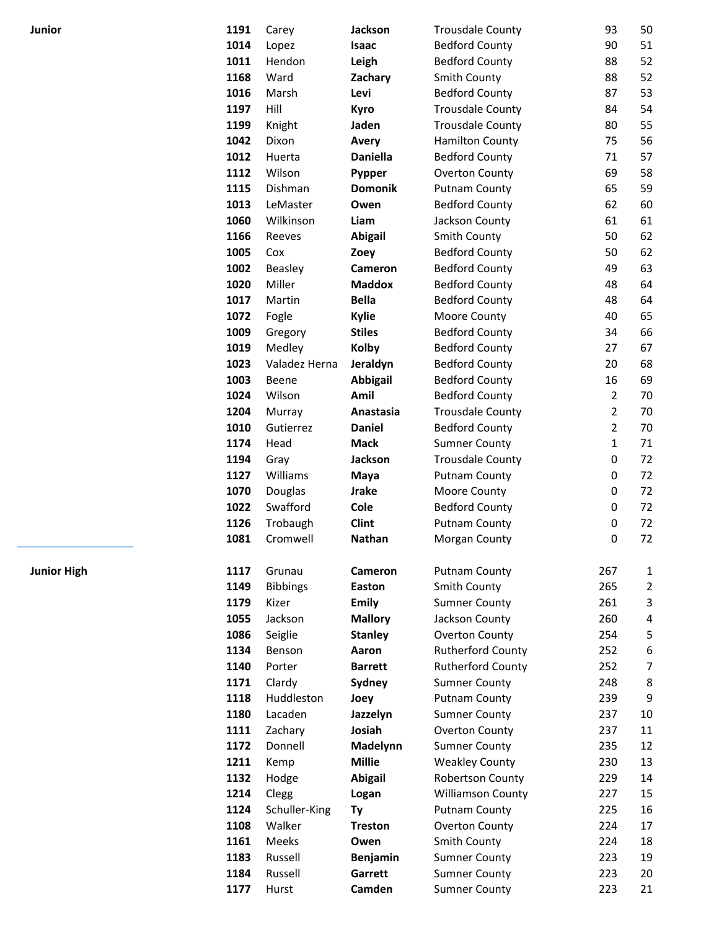| Junior             | 1191 | Carey           | Jackson         | <b>Trousdale County</b>  | 93             | 50             |
|--------------------|------|-----------------|-----------------|--------------------------|----------------|----------------|
|                    | 1014 | Lopez           | Isaac           | <b>Bedford County</b>    | 90             | 51             |
|                    | 1011 | Hendon          | Leigh           | <b>Bedford County</b>    | 88             | 52             |
|                    | 1168 | Ward            | Zachary         | <b>Smith County</b>      | 88             | 52             |
|                    | 1016 | Marsh           | Levi            | <b>Bedford County</b>    | 87             | 53             |
|                    | 1197 | Hill            | Kyro            | <b>Trousdale County</b>  | 84             | 54             |
|                    | 1199 | Knight          | Jaden           | <b>Trousdale County</b>  | 80             | 55             |
|                    | 1042 | Dixon           | Avery           | <b>Hamilton County</b>   | 75             | 56             |
|                    | 1012 | Huerta          | <b>Daniella</b> | <b>Bedford County</b>    | 71             | 57             |
|                    | 1112 | Wilson          | Pypper          | Overton County           | 69             | 58             |
|                    | 1115 | Dishman         | <b>Domonik</b>  | <b>Putnam County</b>     | 65             | 59             |
|                    | 1013 | LeMaster        | Owen            | <b>Bedford County</b>    | 62             | 60             |
|                    | 1060 | Wilkinson       | Liam            | Jackson County           | 61             | 61             |
|                    | 1166 | Reeves          | <b>Abigail</b>  | Smith County             | 50             | 62             |
|                    | 1005 | Cox             | Zoey            | <b>Bedford County</b>    | 50             | 62             |
|                    | 1002 | Beasley         | Cameron         | <b>Bedford County</b>    | 49             | 63             |
|                    | 1020 | Miller          | <b>Maddox</b>   | <b>Bedford County</b>    | 48             | 64             |
|                    | 1017 | Martin          | <b>Bella</b>    | <b>Bedford County</b>    | 48             | 64             |
|                    | 1072 | Fogle           | <b>Kylie</b>    | Moore County             | 40             | 65             |
|                    | 1009 | Gregory         | <b>Stiles</b>   | <b>Bedford County</b>    | 34             | 66             |
|                    | 1019 | Medley          | <b>Kolby</b>    | <b>Bedford County</b>    | 27             | 67             |
|                    | 1023 | Valadez Herna   | Jeraldyn        | <b>Bedford County</b>    | 20             | 68             |
|                    | 1003 | Beene           | <b>Abbigail</b> | <b>Bedford County</b>    | 16             | 69             |
|                    | 1024 | Wilson          | Amil            | <b>Bedford County</b>    | 2              | 70             |
|                    | 1204 | Murray          | Anastasia       | <b>Trousdale County</b>  | $\overline{2}$ | 70             |
|                    | 1010 | Gutierrez       | <b>Daniel</b>   | <b>Bedford County</b>    | $\overline{2}$ | 70             |
|                    | 1174 | Head            | <b>Mack</b>     | <b>Sumner County</b>     | 1              | 71             |
|                    | 1194 | Gray            | Jackson         | <b>Trousdale County</b>  | 0              | 72             |
|                    | 1127 | Williams        | Maya            | <b>Putnam County</b>     | 0              | 72             |
|                    | 1070 | Douglas         | <b>Jrake</b>    | Moore County             | 0              | 72             |
|                    | 1022 | Swafford        | Cole            | <b>Bedford County</b>    | 0              | 72             |
|                    | 1126 | Trobaugh        | <b>Clint</b>    | <b>Putnam County</b>     | $\pmb{0}$      | 72             |
|                    | 1081 | Cromwell        | <b>Nathan</b>   | Morgan County            | $\pmb{0}$      | 72             |
|                    |      |                 |                 |                          |                |                |
| <b>Junior High</b> | 1117 | Grunau          | Cameron         | <b>Putnam County</b>     | 267            | 1              |
|                    | 1149 | <b>Bibbings</b> | Easton          | Smith County             | 265            | $\overline{2}$ |
|                    | 1179 | Kizer           | <b>Emily</b>    | <b>Sumner County</b>     | 261            | $\mathsf 3$    |
|                    | 1055 | Jackson         | <b>Mallory</b>  | Jackson County           | 260            | 4              |
|                    | 1086 | Seiglie         | <b>Stanley</b>  | Overton County           | 254            | 5              |
|                    | 1134 | Benson          | Aaron           | <b>Rutherford County</b> | 252            | 6              |
|                    | 1140 | Porter          | <b>Barrett</b>  | <b>Rutherford County</b> | 252            | $\overline{7}$ |
|                    | 1171 | Clardy          | Sydney          | <b>Sumner County</b>     | 248            | 8              |
|                    | 1118 | Huddleston      | Joey            | <b>Putnam County</b>     | 239            | 9              |
|                    | 1180 | Lacaden         | Jazzelyn        | <b>Sumner County</b>     | 237            | 10             |
|                    | 1111 | Zachary         | Josiah          | Overton County           | 237            | 11             |
|                    | 1172 | Donnell         | Madelynn        | <b>Sumner County</b>     | 235            | 12             |
|                    | 1211 | Kemp            | <b>Millie</b>   | <b>Weakley County</b>    | 230            | 13             |
|                    | 1132 | Hodge           | <b>Abigail</b>  | <b>Robertson County</b>  | 229            | 14             |
|                    | 1214 | Clegg           | Logan           | <b>Williamson County</b> | 227            | 15             |
|                    | 1124 | Schuller-King   | Ty              | <b>Putnam County</b>     | 225            | 16             |
|                    | 1108 | Walker          | <b>Treston</b>  | Overton County           | 224            | 17             |
|                    | 1161 | Meeks           | Owen            | Smith County             | 224            | 18             |
|                    | 1183 | Russell         | Benjamin        | <b>Sumner County</b>     | 223            | 19             |
|                    | 1184 | Russell         | Garrett         | <b>Sumner County</b>     | 223            | 20             |
|                    | 1177 | Hurst           | Camden          | <b>Sumner County</b>     | 223            | 21             |
|                    |      |                 |                 |                          |                |                |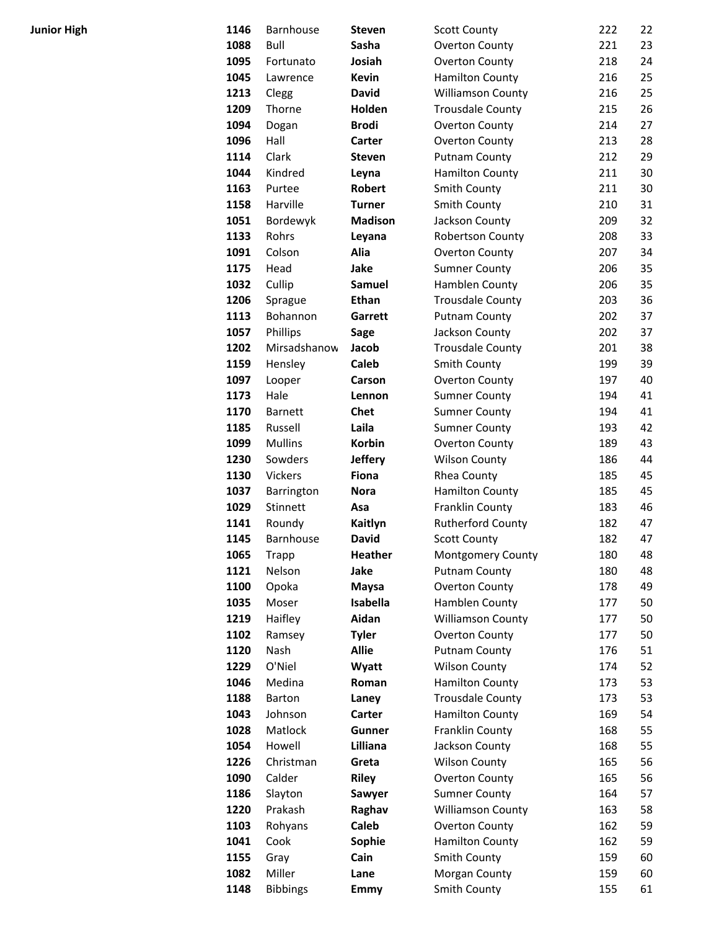| <b>Junior High</b> | 1146 | Barnhouse       | <b>Steven</b>  | <b>Scott County</b>      | 222 | 22 |
|--------------------|------|-----------------|----------------|--------------------------|-----|----|
|                    | 1088 | Bull            | Sasha          | Overton County           | 221 | 23 |
|                    | 1095 | Fortunato       | Josiah         | Overton County           | 218 | 24 |
|                    | 1045 | Lawrence        | <b>Kevin</b>   | <b>Hamilton County</b>   | 216 | 25 |
|                    | 1213 | Clegg           | <b>David</b>   | <b>Williamson County</b> | 216 | 25 |
|                    | 1209 | Thorne          | Holden         | <b>Trousdale County</b>  | 215 | 26 |
|                    | 1094 | Dogan           | <b>Brodi</b>   | Overton County           | 214 | 27 |
|                    | 1096 | Hall            | Carter         | Overton County           | 213 | 28 |
|                    | 1114 | Clark           | <b>Steven</b>  | <b>Putnam County</b>     | 212 | 29 |
|                    | 1044 | Kindred         | Leyna          | <b>Hamilton County</b>   | 211 | 30 |
|                    | 1163 | Purtee          | <b>Robert</b>  | Smith County             | 211 | 30 |
|                    | 1158 | Harville        | <b>Turner</b>  | Smith County             | 210 | 31 |
|                    | 1051 | Bordewyk        | <b>Madison</b> | Jackson County           | 209 | 32 |
|                    | 1133 | Rohrs           | Leyana         | <b>Robertson County</b>  | 208 | 33 |
|                    | 1091 | Colson          | Alia           | Overton County           | 207 | 34 |
|                    | 1175 | Head            | Jake           | <b>Sumner County</b>     | 206 | 35 |
|                    | 1032 | Cullip          | <b>Samuel</b>  | Hamblen County           | 206 | 35 |
|                    | 1206 | Sprague         | <b>Ethan</b>   | <b>Trousdale County</b>  | 203 | 36 |
|                    | 1113 | Bohannon        | Garrett        | <b>Putnam County</b>     | 202 | 37 |
|                    | 1057 | Phillips        | <b>Sage</b>    | Jackson County           | 202 | 37 |
|                    | 1202 | Mirsadshanow    | Jacob          | <b>Trousdale County</b>  | 201 | 38 |
|                    | 1159 | Hensley         | <b>Caleb</b>   | Smith County             | 199 | 39 |
|                    | 1097 | Looper          | Carson         | Overton County           | 197 | 40 |
|                    | 1173 | Hale            | Lennon         | <b>Sumner County</b>     | 194 | 41 |
|                    | 1170 | <b>Barnett</b>  | <b>Chet</b>    | <b>Sumner County</b>     | 194 | 41 |
|                    | 1185 | Russell         | Laila          | <b>Sumner County</b>     | 193 | 42 |
|                    | 1099 | <b>Mullins</b>  | Korbin         | Overton County           | 189 | 43 |
|                    | 1230 | Sowders         | <b>Jeffery</b> | <b>Wilson County</b>     | 186 | 44 |
|                    | 1130 | Vickers         | <b>Fiona</b>   | Rhea County              | 185 | 45 |
|                    | 1037 | Barrington      | <b>Nora</b>    | <b>Hamilton County</b>   | 185 | 45 |
|                    | 1029 | Stinnett        | Asa            | Franklin County          | 183 | 46 |
|                    | 1141 | Roundy          | Kaitlyn        | <b>Rutherford County</b> | 182 | 47 |
|                    | 1145 | Barnhouse       | <b>David</b>   | <b>Scott County</b>      | 182 | 47 |
|                    | 1065 | <b>Trapp</b>    | Heather        | <b>Montgomery County</b> | 180 | 48 |
|                    | 1121 | Nelson          | Jake           | <b>Putnam County</b>     | 180 | 48 |
|                    | 1100 | Opoka           | <b>Maysa</b>   | <b>Overton County</b>    | 178 | 49 |
|                    | 1035 | Moser           | Isabella       | Hamblen County           | 177 | 50 |
|                    | 1219 | Haifley         | Aidan          | <b>Williamson County</b> | 177 | 50 |
|                    | 1102 | Ramsey          | <b>Tyler</b>   | Overton County           | 177 | 50 |
|                    | 1120 | Nash            | <b>Allie</b>   | <b>Putnam County</b>     | 176 | 51 |
|                    | 1229 | O'Niel          | Wyatt          | <b>Wilson County</b>     | 174 | 52 |
|                    | 1046 | Medina          | Roman          | <b>Hamilton County</b>   | 173 | 53 |
|                    | 1188 | Barton          | Laney          | <b>Trousdale County</b>  | 173 | 53 |
|                    | 1043 | Johnson         | Carter         | <b>Hamilton County</b>   | 169 | 54 |
|                    | 1028 | Matlock         | Gunner         | Franklin County          | 168 | 55 |
|                    | 1054 | Howell          | Lilliana       | Jackson County           | 168 | 55 |
|                    | 1226 | Christman       | Greta          | <b>Wilson County</b>     | 165 | 56 |
|                    | 1090 | Calder          | <b>Riley</b>   | Overton County           | 165 | 56 |
|                    | 1186 | Slayton         | Sawyer         | <b>Sumner County</b>     | 164 | 57 |
|                    | 1220 | Prakash         | Raghav         | <b>Williamson County</b> | 163 | 58 |
|                    | 1103 | Rohyans         | Caleb          | Overton County           | 162 | 59 |
|                    | 1041 | Cook            | Sophie         | <b>Hamilton County</b>   | 162 | 59 |
|                    | 1155 | Gray            | Cain           | Smith County             | 159 | 60 |
|                    | 1082 | Miller          | Lane           | Morgan County            | 159 | 60 |
|                    | 1148 | <b>Bibbings</b> | Emmy           | Smith County             | 155 | 61 |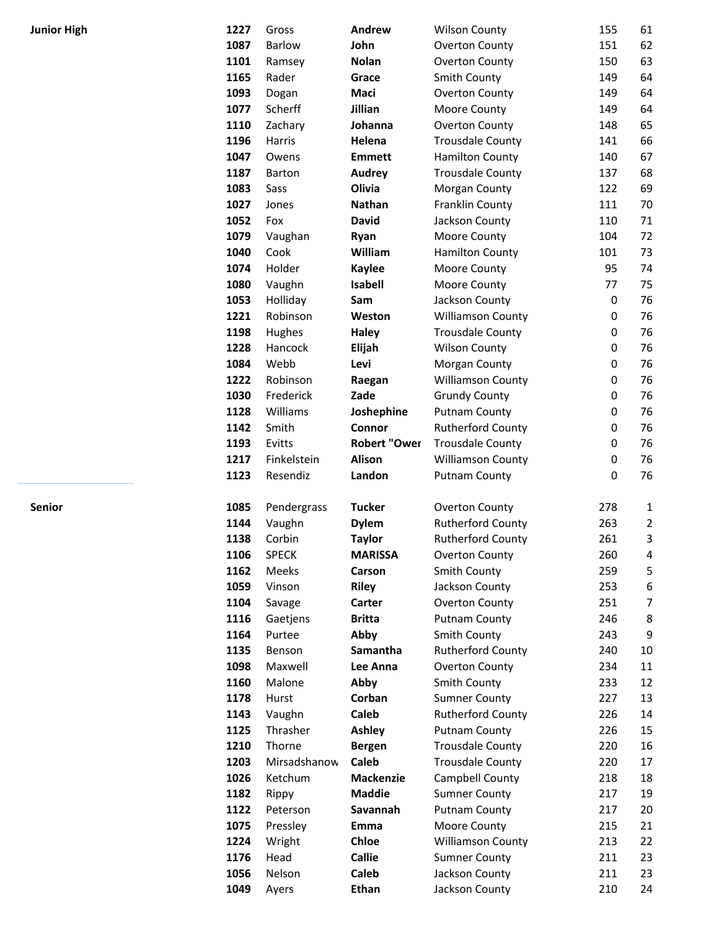| <b>Junior High</b> | 1227         | Gross             | Andrew              | <b>Wilson County</b>                             | 155            | 61             |
|--------------------|--------------|-------------------|---------------------|--------------------------------------------------|----------------|----------------|
|                    | 1087         | <b>Barlow</b>     | John                | <b>Overton County</b>                            | 151            | 62             |
|                    | 1101         | Ramsey            | <b>Nolan</b>        | <b>Overton County</b>                            | 150            | 63             |
|                    | 1165         | Rader             | Grace               | Smith County                                     | 149            | 64             |
|                    | 1093         | Dogan             | Maci                | Overton County                                   | 149            | 64             |
|                    | 1077         | Scherff           | Jillian             | Moore County                                     | 149            | 64             |
|                    | 1110         | Zachary           | Johanna             | <b>Overton County</b>                            | 148            | 65             |
|                    | 1196         | Harris            | Helena              | <b>Trousdale County</b>                          | 141            | 66             |
|                    | 1047         | Owens             | <b>Emmett</b>       | <b>Hamilton County</b>                           | 140            | 67             |
|                    | 1187         | Barton            | <b>Audrey</b>       | <b>Trousdale County</b>                          | 137            | 68             |
|                    | 1083         | Sass              | Olivia              | Morgan County                                    | 122            | 69             |
|                    | 1027         | Jones             | Nathan              | Franklin County                                  | 111            | 70             |
|                    | 1052         | Fox               | <b>David</b>        | Jackson County                                   | 110            | 71             |
|                    | 1079         | Vaughan           | Ryan                | Moore County                                     | 104            | 72             |
|                    | 1040         | Cook              | William             | <b>Hamilton County</b>                           | 101            | 73             |
|                    | 1074         | Holder            | <b>Kaylee</b>       | Moore County                                     | 95             | 74             |
|                    | 1080         | Vaughn            | Isabell             | Moore County                                     | 77             | 75             |
|                    | 1053         | Holliday          | Sam                 | Jackson County                                   | $\mathbf 0$    | 76             |
|                    | 1221         | Robinson          | Weston              | <b>Williamson County</b>                         | 0              | 76             |
|                    | 1198<br>1228 | Hughes<br>Hancock | <b>Haley</b>        | <b>Trousdale County</b>                          | 0              | 76             |
|                    | 1084         | Webb              | Elijah              | <b>Wilson County</b>                             | 0              | 76             |
|                    | 1222         | Robinson          | Levi<br>Raegan      | Morgan County<br><b>Williamson County</b>        | $\pmb{0}$<br>0 | 76<br>76       |
|                    | 1030         | Frederick         | Zade                | <b>Grundy County</b>                             | 0              | 76             |
|                    | 1128         | Williams          | Joshephine          | <b>Putnam County</b>                             | $\pmb{0}$      | 76             |
|                    | 1142         | Smith             | Connor              | <b>Rutherford County</b>                         | 0              | 76             |
|                    | 1193         | Evitts            | <b>Robert "Ower</b> | <b>Trousdale County</b>                          | $\pmb{0}$      | 76             |
|                    | 1217         | Finkelstein       | Alison              | <b>Williamson County</b>                         | 0              | 76             |
|                    | 1123         | Resendiz          | Landon              | <b>Putnam County</b>                             | 0              | 76             |
|                    |              |                   |                     |                                                  |                |                |
| Senior             | 1085         | Pendergrass       | <b>Tucker</b>       | <b>Overton County</b>                            | 278            | 1              |
|                    | 1144         | Vaughn            | <b>Dylem</b>        | <b>Rutherford County</b>                         | 263            | $\overline{2}$ |
|                    | 1138         | Corbin            | <b>Taylor</b>       | <b>Rutherford County</b>                         | 261            | 3              |
|                    | 1106         | <b>SPECK</b>      | <b>MARISSA</b>      | <b>Overton County</b>                            | 260            | 4              |
|                    | 1162         | Meeks             | Carson              | Smith County                                     | 259            | 5              |
|                    | 1059         | Vinson            | <b>Riley</b>        | Jackson County                                   | 253            | 6              |
|                    | 1104         | Savage            | Carter              | Overton County                                   | 251            | $\overline{7}$ |
|                    | 1116         | Gaetjens          | <b>Britta</b>       | <b>Putnam County</b>                             | 246            | 8              |
|                    | 1164         | Purtee            | Abby                | Smith County                                     | 243            | 9              |
|                    | 1135         | Benson            | Samantha            | <b>Rutherford County</b>                         | 240            | $10\,$         |
|                    | 1098         | Maxwell           | Lee Anna            | <b>Overton County</b>                            | 234            | $11\,$         |
|                    | 1160         | Malone            | Abby                | Smith County                                     | 233            | 12             |
|                    | 1178<br>1143 | Hurst<br>Vaughn   | Corban<br>Caleb     | <b>Sumner County</b><br><b>Rutherford County</b> | 227<br>226     | 13<br>14       |
|                    | 1125         | Thrasher          | <b>Ashley</b>       | <b>Putnam County</b>                             | 226            | 15             |
|                    | 1210         | Thorne            | <b>Bergen</b>       | <b>Trousdale County</b>                          | 220            | 16             |
|                    | 1203         | Mirsadshanow      | Caleb               | <b>Trousdale County</b>                          | 220            | 17             |
|                    | 1026         | Ketchum           | <b>Mackenzie</b>    | Campbell County                                  | 218            | 18             |
|                    | 1182         | Rippy             | <b>Maddie</b>       | <b>Sumner County</b>                             | 217            | 19             |
|                    | 1122         | Peterson          | Savannah            | <b>Putnam County</b>                             | 217            | 20             |
|                    | 1075         | Pressley          | Emma                | Moore County                                     | 215            | 21             |
|                    | 1224         | Wright            | Chloe               | <b>Williamson County</b>                         | 213            | 22             |
|                    | 1176         | Head              | <b>Callie</b>       | <b>Sumner County</b>                             | 211            | 23             |
|                    | 1056         | Nelson            | Caleb               | Jackson County                                   | 211            | 23             |
|                    | 1049         | Ayers             | <b>Ethan</b>        | Jackson County                                   | 210            | 24             |
|                    |              |                   |                     |                                                  |                |                |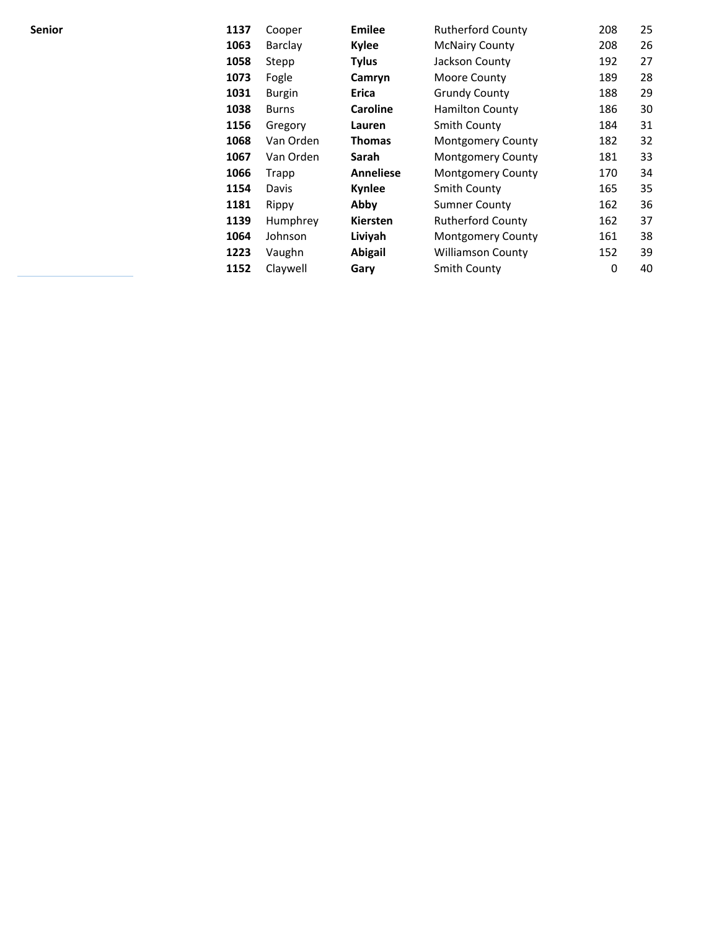| Senior | 1137 | Cooper        | <b>Emilee</b>    | <b>Rutherford County</b> | 208 | 25 |
|--------|------|---------------|------------------|--------------------------|-----|----|
|        | 1063 | Barclay       | <b>Kylee</b>     | <b>McNairy County</b>    | 208 | 26 |
|        | 1058 | Stepp         | <b>Tylus</b>     | Jackson County           | 192 | 27 |
|        | 1073 | Fogle         | Camryn           | Moore County             | 189 | 28 |
|        | 1031 | <b>Burgin</b> | Erica            | <b>Grundy County</b>     | 188 | 29 |
|        | 1038 | <b>Burns</b>  | <b>Caroline</b>  | <b>Hamilton County</b>   | 186 | 30 |
|        | 1156 | Gregory       | Lauren           | Smith County             | 184 | 31 |
|        | 1068 | Van Orden     | <b>Thomas</b>    | <b>Montgomery County</b> | 182 | 32 |
|        | 1067 | Van Orden     | Sarah            | <b>Montgomery County</b> | 181 | 33 |
|        | 1066 | Trapp         | <b>Anneliese</b> | <b>Montgomery County</b> | 170 | 34 |
|        | 1154 | Davis         | Kynlee           | Smith County             | 165 | 35 |
|        | 1181 | Rippy         | Abby             | <b>Sumner County</b>     | 162 | 36 |
|        | 1139 | Humphrey      | <b>Kiersten</b>  | <b>Rutherford County</b> | 162 | 37 |
|        | 1064 | Johnson       | Liviyah          | <b>Montgomery County</b> | 161 | 38 |
|        | 1223 | Vaughn        | Abigail          | <b>Williamson County</b> | 152 | 39 |
|        | 1152 | Claywell      | Gary             | Smith County             | 0   | 40 |
|        |      |               |                  |                          |     |    |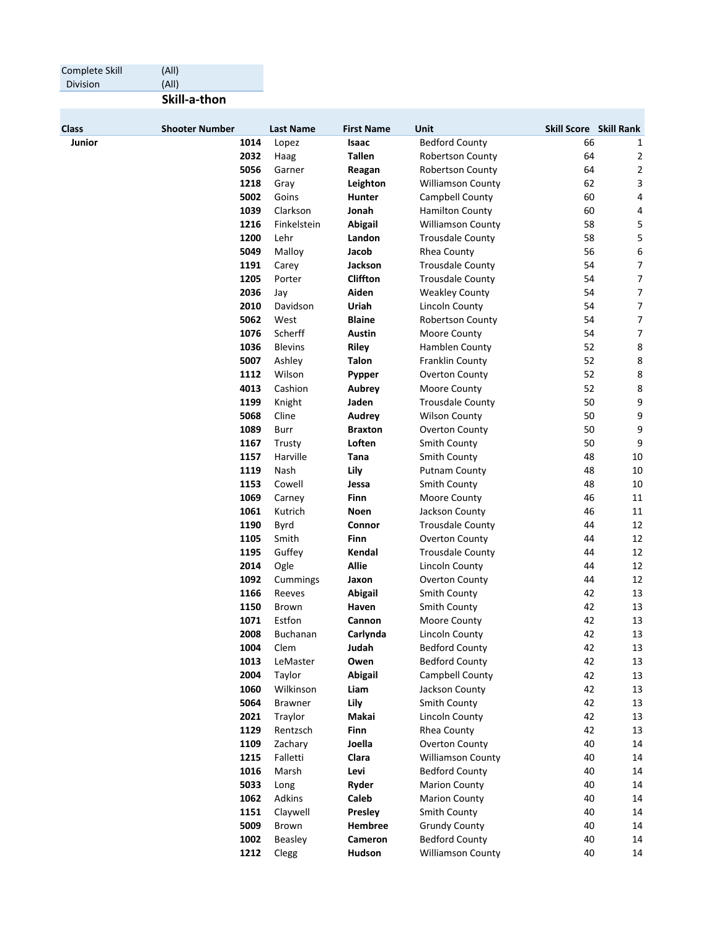| Complete Skill | (A  )                 |              |                  |                     |                                           |                               |                |
|----------------|-----------------------|--------------|------------------|---------------------|-------------------------------------------|-------------------------------|----------------|
| Division       | (AII)                 |              |                  |                     |                                           |                               |                |
|                | Skill-a-thon          |              |                  |                     |                                           |                               |                |
| <b>Class</b>   | <b>Shooter Number</b> |              | <b>Last Name</b> | <b>First Name</b>   | <b>Unit</b>                               | <b>Skill Score Skill Rank</b> |                |
| Junior         |                       | 1014         | Lopez            | Isaac               | <b>Bedford County</b>                     | 66                            | 1              |
|                |                       | 2032         | Haag             | <b>Tallen</b>       | <b>Robertson County</b>                   | 64                            | 2              |
|                |                       | 5056         | Garner           | Reagan              | <b>Robertson County</b>                   | 64                            | 2              |
|                |                       | 1218         | Gray             | Leighton            | <b>Williamson County</b>                  | 62                            | 3              |
|                |                       | 5002         | Goins            | <b>Hunter</b>       | Campbell County                           | 60                            | 4              |
|                |                       | 1039         | Clarkson         | Jonah               | <b>Hamilton County</b>                    | 60                            | 4              |
|                |                       | 1216         | Finkelstein      | <b>Abigail</b>      | <b>Williamson County</b>                  | 58                            | 5              |
|                |                       | 1200         | Lehr             | Landon              | <b>Trousdale County</b>                   | 58                            | 5              |
|                |                       | 5049         | Malloy           | Jacob               | Rhea County                               | 56                            | 6              |
|                |                       | 1191         | Carey            | Jackson             | <b>Trousdale County</b>                   | 54                            | $\overline{7}$ |
|                |                       | 1205         | Porter           | <b>Cliffton</b>     | <b>Trousdale County</b>                   | 54                            | $\overline{7}$ |
|                |                       | 2036         | Jay              | Aiden               | <b>Weakley County</b>                     | 54                            | $\overline{7}$ |
|                |                       | 2010         | Davidson         | Uriah               | Lincoln County                            | 54                            | 7              |
|                |                       | 5062         | West             | <b>Blaine</b>       | <b>Robertson County</b>                   | 54                            | $\overline{7}$ |
|                |                       | 1076         | Scherff          | Austin              | Moore County                              | 54                            | $\overline{7}$ |
|                |                       | 1036         | <b>Blevins</b>   | <b>Riley</b>        | Hamblen County                            | 52                            | 8              |
|                |                       | 5007         | Ashley           | <b>Talon</b>        | Franklin County                           | 52                            | 8              |
|                |                       | 1112         | Wilson           | Pypper              | Overton County                            | 52                            | 8              |
|                |                       | 4013         | Cashion          | Aubrey              | Moore County                              | 52                            | 8              |
|                |                       | 1199         | Knight           | Jaden               | <b>Trousdale County</b>                   | 50                            | 9              |
|                |                       | 5068         | Cline            | Audrey              | <b>Wilson County</b>                      | 50                            | 9              |
|                |                       | 1089         | Burr             | <b>Braxton</b>      | Overton County                            | 50                            | 9              |
|                |                       | 1167         | Trusty           | Loften              | <b>Smith County</b>                       | 50                            | 9              |
|                |                       | 1157         | Harville         | Tana                | Smith County                              | 48                            | 10             |
|                |                       | 1119         | Nash             | Lily                | <b>Putnam County</b>                      | 48                            | 10             |
|                |                       | 1153<br>1069 | Cowell           | Jessa               | Smith County                              | 48<br>46                      | 10<br>11       |
|                |                       |              | Carney           | Finn<br><b>Noen</b> | Moore County                              | 46                            | 11             |
|                |                       | 1061<br>1190 | Kutrich<br>Byrd  | Connor              | Jackson County<br><b>Trousdale County</b> | 44                            | 12             |
|                |                       | 1105         | Smith            | Finn                | <b>Overton County</b>                     | 44                            | 12             |
|                |                       | 1195         | Guffey           | Kendal              | <b>Trousdale County</b>                   | 44                            | 12             |
|                |                       | 2014         | Ogle             | <b>Allie</b>        | Lincoln County                            | 44                            | 12             |
|                |                       | 1092         | Cummings         | Jaxon               | Overton County                            | 44                            | 12             |
|                |                       | 1166         | Reeves           | Abigail             | Smith County                              | 42                            | 13             |
|                |                       | 1150         | <b>Brown</b>     | Haven               | <b>Smith County</b>                       | 42                            | 13             |
|                |                       | 1071         | Estfon           | Cannon              | Moore County                              | 42                            | 13             |
|                |                       | 2008         | Buchanan         | Carlynda            | Lincoln County                            | 42                            | 13             |
|                |                       | 1004         | Clem             | Judah               | <b>Bedford County</b>                     | 42                            | 13             |
|                |                       | 1013         | LeMaster         | Owen                | <b>Bedford County</b>                     | 42                            | 13             |
|                |                       | 2004         | Taylor           | Abigail             | Campbell County                           | 42                            | 13             |
|                |                       | 1060         | Wilkinson        | Liam                | Jackson County                            | 42                            | 13             |
|                |                       | 5064         | <b>Brawner</b>   | Lily                | Smith County                              | 42                            | 13             |
|                |                       | 2021         | Traylor          | Makai               | Lincoln County                            | 42                            | 13             |
|                |                       | 1129         | Rentzsch         | Finn                | Rhea County                               | 42                            | 13             |
|                |                       | 1109         | Zachary          | Joella              | Overton County                            | 40                            | 14             |
|                |                       | 1215         | Falletti         | Clara               | <b>Williamson County</b>                  | 40                            | 14             |
|                |                       | 1016         | Marsh            | Levi                | <b>Bedford County</b>                     | 40                            | 14             |
|                |                       | 5033         | Long             | Ryder               | <b>Marion County</b>                      | 40                            | 14             |
|                |                       | 1062         | Adkins           | Caleb               | <b>Marion County</b>                      | 40                            | 14             |
|                |                       | 1151         | Claywell         | Presley             | Smith County                              | 40                            | 14             |
|                |                       | 5009         | Brown            | Hembree             | <b>Grundy County</b>                      | 40                            | 14             |
|                |                       | 1002         | Beasley          | Cameron             | <b>Bedford County</b>                     | 40                            | 14             |
|                |                       | 1212         | Clegg            | Hudson              | Williamson County                         | 40                            | 14             |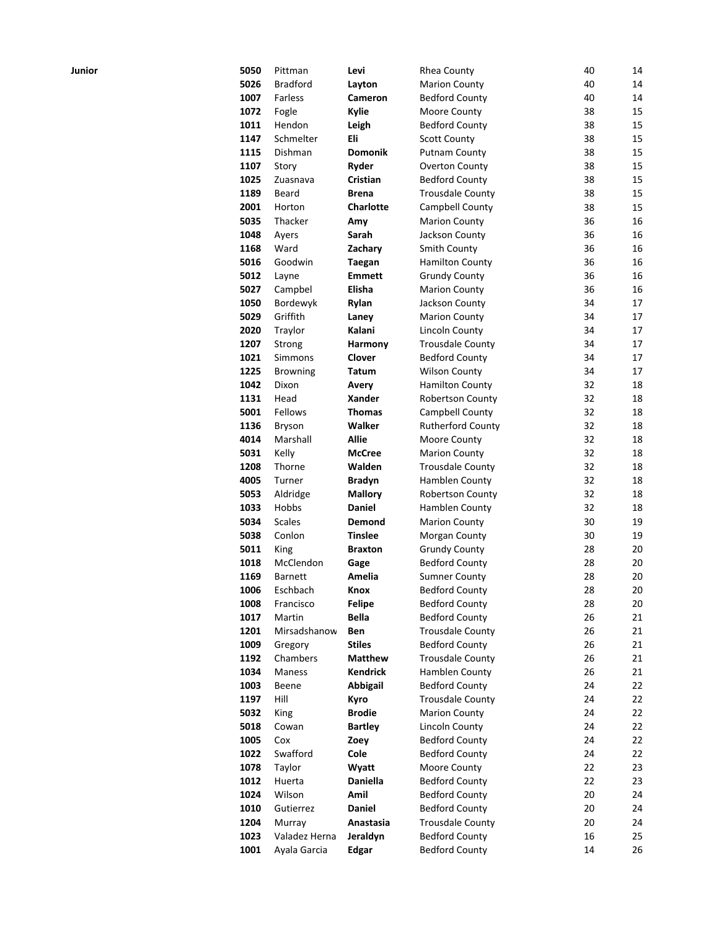| Junior | 5050 | Pittman         | Levi             | <b>Rhea County</b>       | 40     | 14 |
|--------|------|-----------------|------------------|--------------------------|--------|----|
|        | 5026 | <b>Bradford</b> | Layton           | <b>Marion County</b>     | 40     | 14 |
|        | 1007 | <b>Farless</b>  | <b>Cameron</b>   | <b>Bedford County</b>    | 40     | 14 |
|        | 1072 | Fogle           | Kylie            | Moore County             | 38     | 15 |
|        | 1011 | Hendon          | Leigh            | <b>Bedford County</b>    | 38     | 15 |
|        | 1147 | Schmelter       | Eli              | <b>Scott County</b>      | 38     | 15 |
|        | 1115 | Dishman         | <b>Domonik</b>   | <b>Putnam County</b>     | 38     | 15 |
|        | 1107 | Story           | Ryder            | Overton County           | 38     | 15 |
|        | 1025 | Zuasnava        | Cristian         | <b>Bedford County</b>    | 38     | 15 |
|        | 1189 | Beard           | Brena            | <b>Trousdale County</b>  | 38     | 15 |
|        | 2001 | Horton          | <b>Charlotte</b> | Campbell County          | 38     | 15 |
|        | 5035 | Thacker         | Amy              | <b>Marion County</b>     | 36     | 16 |
|        | 1048 | Ayers           | Sarah            | Jackson County           | 36     | 16 |
|        | 1168 | Ward            | Zachary          | Smith County             | 36     | 16 |
|        | 5016 | Goodwin         | Taegan           | <b>Hamilton County</b>   | 36     | 16 |
|        | 5012 | Layne           | <b>Emmett</b>    | <b>Grundy County</b>     | 36     | 16 |
|        | 5027 | Campbel         | Elisha           | <b>Marion County</b>     | 36     | 16 |
|        | 1050 | Bordewyk        | Rylan            | Jackson County           | 34     | 17 |
|        | 5029 | Griffith        | Laney            | <b>Marion County</b>     | 34     | 17 |
|        | 2020 | Traylor         | Kalani           | <b>Lincoln County</b>    | 34     | 17 |
|        | 1207 | Strong          | Harmony          | <b>Trousdale County</b>  | 34     | 17 |
|        | 1021 | Simmons         | Clover           | <b>Bedford County</b>    | 34     | 17 |
|        | 1225 | Browning        | <b>Tatum</b>     | <b>Wilson County</b>     | 34     | 17 |
|        | 1042 | Dixon           | Avery            | <b>Hamilton County</b>   | 32     | 18 |
|        | 1131 | Head            | <b>Xander</b>    | <b>Robertson County</b>  | 32     | 18 |
|        | 5001 | Fellows         | <b>Thomas</b>    | Campbell County          | 32     | 18 |
|        | 1136 | <b>Bryson</b>   | Walker           | <b>Rutherford County</b> | 32     | 18 |
|        | 4014 | Marshall        | <b>Allie</b>     | Moore County             | 32     | 18 |
|        | 5031 | Kelly           | <b>McCree</b>    | <b>Marion County</b>     | 32     | 18 |
|        | 1208 | Thorne          | Walden           | <b>Trousdale County</b>  | 32     | 18 |
|        | 4005 | Turner          | <b>Bradyn</b>    | Hamblen County           | 32     | 18 |
|        | 5053 | Aldridge        | <b>Mallory</b>   | <b>Robertson County</b>  | 32     | 18 |
|        | 1033 | Hobbs           | Daniel           | Hamblen County           | 32     | 18 |
|        | 5034 | <b>Scales</b>   | Demond           | <b>Marion County</b>     | 30     | 19 |
|        | 5038 | Conlon          | <b>Tinslee</b>   | Morgan County            | 30     | 19 |
|        | 5011 | King            | <b>Braxton</b>   | <b>Grundy County</b>     | 28     | 20 |
|        | 1018 | McClendon       | Gage             | <b>Bedford County</b>    | 28     | 20 |
|        | 1169 | <b>Barnett</b>  | Amelia           | <b>Sumner County</b>     | 28     | 20 |
|        | 1006 | Eschbach        | Knox             | <b>Bedford County</b>    | 28     | 20 |
|        | 1008 | Francisco       | <b>Felipe</b>    | <b>Bedford County</b>    | 28     | 20 |
|        | 1017 | Martin          | Bella            | <b>Bedford County</b>    | 26     | 21 |
|        | 1201 | Mirsadshanow    | Ben              | <b>Trousdale County</b>  | 26     | 21 |
|        | 1009 | Gregory         | <b>Stiles</b>    | <b>Bedford County</b>    | 26     | 21 |
|        | 1192 | Chambers        | <b>Matthew</b>   | <b>Trousdale County</b>  | 26     | 21 |
|        | 1034 | Maness          | <b>Kendrick</b>  | Hamblen County           | 26     | 21 |
|        | 1003 | Beene           | Abbigail         | <b>Bedford County</b>    | 24     | 22 |
|        | 1197 | Hill            | Kyro             | <b>Trousdale County</b>  | 24     | 22 |
|        | 5032 | King            | <b>Brodie</b>    | <b>Marion County</b>     | 24     | 22 |
|        | 5018 | Cowan           | <b>Bartley</b>   | <b>Lincoln County</b>    | 24     | 22 |
|        | 1005 | Cox             | Zoey             | <b>Bedford County</b>    | 24     | 22 |
|        | 1022 | Swafford        | Cole             | <b>Bedford County</b>    | 24     | 22 |
|        | 1078 | Taylor          | Wyatt            | Moore County             | 22     | 23 |
|        | 1012 | Huerta          | Daniella         | <b>Bedford County</b>    | 22     | 23 |
|        | 1024 | Wilson          | Amil             | <b>Bedford County</b>    | 20     | 24 |
|        | 1010 | Gutierrez       | <b>Daniel</b>    | <b>Bedford County</b>    | 20     | 24 |
|        | 1204 | Murray          | Anastasia        | <b>Trousdale County</b>  | $20\,$ | 24 |
|        | 1023 | Valadez Herna   | Jeraldyn         | <b>Bedford County</b>    | 16     | 25 |
|        | 1001 | Ayala Garcia    | <b>Edgar</b>     | <b>Bedford County</b>    | 14     | 26 |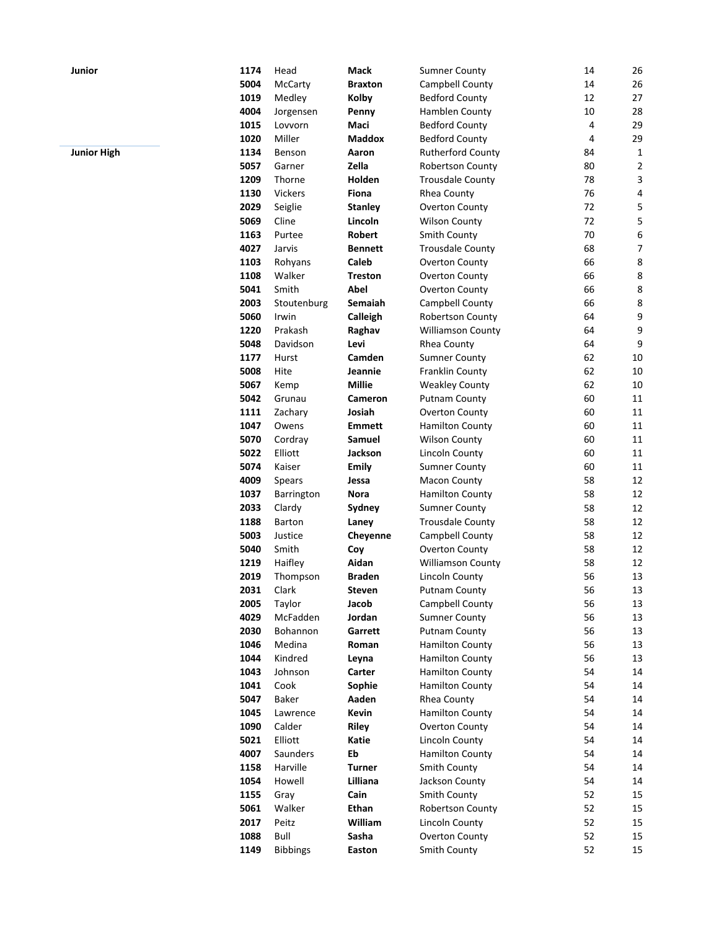| Junior             | 1174 | Head            | Mack           | <b>Sumner County</b>     | 14 | 26                      |
|--------------------|------|-----------------|----------------|--------------------------|----|-------------------------|
|                    | 5004 | <b>McCarty</b>  | <b>Braxton</b> | Campbell County          | 14 | 26                      |
|                    | 1019 | Medley          | Kolby          | <b>Bedford County</b>    | 12 | 27                      |
|                    | 4004 | Jorgensen       | Penny          | Hamblen County           | 10 | 28                      |
|                    | 1015 | Lovvorn         | Maci           | <b>Bedford County</b>    | 4  | 29                      |
|                    | 1020 | Miller          | <b>Maddox</b>  | <b>Bedford County</b>    | 4  | 29                      |
| <b>Junior High</b> | 1134 | Benson          | Aaron          | <b>Rutherford County</b> | 84 | 1                       |
|                    | 5057 | Garner          | Zella          | <b>Robertson County</b>  | 80 | $\overline{\mathbf{c}}$ |
|                    | 1209 | Thorne          | Holden         | <b>Trousdale County</b>  | 78 | 3                       |
|                    | 1130 | Vickers         | Fiona          | Rhea County              | 76 | 4                       |
|                    | 2029 | Seiglie         | <b>Stanley</b> | Overton County           | 72 | 5                       |
|                    | 5069 | Cline           | Lincoln        | <b>Wilson County</b>     | 72 | 5                       |
|                    | 1163 | Purtee          | Robert         | <b>Smith County</b>      | 70 | 6                       |
|                    | 4027 | Jarvis          | <b>Bennett</b> | <b>Trousdale County</b>  | 68 | 7                       |
|                    | 1103 | Rohyans         | Caleb          | Overton County           | 66 | 8                       |
|                    | 1108 | Walker          | <b>Treston</b> | <b>Overton County</b>    | 66 | 8                       |
|                    | 5041 | Smith           | Abel           | <b>Overton County</b>    | 66 | 8                       |
|                    | 2003 | Stoutenburg     | Semaiah        | Campbell County          | 66 | 8                       |
|                    | 5060 | Irwin           | Calleigh       | Robertson County         | 64 | 9                       |
|                    | 1220 | Prakash         | Raghav         | <b>Williamson County</b> | 64 | 9                       |
|                    | 5048 | Davidson        | Levi           | Rhea County              | 64 | 9                       |
|                    | 1177 | Hurst           | Camden         | <b>Sumner County</b>     | 62 | 10                      |
|                    | 5008 | Hite            | Jeannie        | Franklin County          | 62 | 10                      |
|                    | 5067 | Kemp            | <b>Millie</b>  | <b>Weakley County</b>    | 62 | 10                      |
|                    | 5042 | Grunau          | Cameron        | <b>Putnam County</b>     | 60 | 11                      |
|                    | 1111 | Zachary         | Josiah         | Overton County           | 60 | 11                      |
|                    | 1047 | Owens           | <b>Emmett</b>  | <b>Hamilton County</b>   | 60 | 11                      |
|                    | 5070 | Cordray         | Samuel         | <b>Wilson County</b>     | 60 | 11                      |
|                    | 5022 | Elliott         | Jackson        | <b>Lincoln County</b>    | 60 | 11                      |
|                    | 5074 | Kaiser          | Emily          | <b>Sumner County</b>     | 60 | 11                      |
|                    | 4009 | Spears          | Jessa          | Macon County             | 58 | 12                      |
|                    | 1037 | Barrington      | <b>Nora</b>    | <b>Hamilton County</b>   | 58 | 12                      |
|                    | 2033 | Clardy          | Sydney         | <b>Sumner County</b>     | 58 | 12                      |
|                    | 1188 | <b>Barton</b>   | Laney          | <b>Trousdale County</b>  | 58 | 12                      |
|                    | 5003 | Justice         | Cheyenne       | Campbell County          | 58 | 12                      |
|                    | 5040 | Smith           | Coy            | Overton County           | 58 | 12                      |
|                    | 1219 | Haifley         | Aidan          | <b>Williamson County</b> | 58 | 12                      |
|                    | 2019 | Thompson        | <b>Braden</b>  | Lincoln County           | 56 | 13                      |
|                    | 2031 | Clark           | <b>Steven</b>  | <b>Putnam County</b>     | 56 | 13                      |
|                    | 2005 | Taylor          | Jacob          | Campbell County          | 56 | 13                      |
|                    | 4029 | McFadden        | Jordan         | <b>Sumner County</b>     | 56 | 13                      |
|                    | 2030 | Bohannon        | Garrett        | <b>Putnam County</b>     | 56 | 13                      |
|                    | 1046 | Medina          | Roman          | <b>Hamilton County</b>   | 56 | 13                      |
|                    | 1044 | Kindred         | Leyna          | <b>Hamilton County</b>   | 56 | 13                      |
|                    | 1043 | Johnson         | Carter         | Hamilton County          | 54 | 14                      |
|                    | 1041 | Cook            | Sophie         | <b>Hamilton County</b>   | 54 | 14                      |
|                    | 5047 | Baker           | Aaden          | Rhea County              | 54 | 14                      |
|                    | 1045 | Lawrence        | Kevin          | Hamilton County          | 54 | 14                      |
|                    | 1090 | Calder          | <b>Riley</b>   | Overton County           | 54 | 14                      |
|                    | 5021 | Elliott         | Katie          | Lincoln County           | 54 | 14                      |
|                    | 4007 | Saunders        | Eb             | <b>Hamilton County</b>   | 54 | 14                      |
|                    | 1158 | Harville        | <b>Turner</b>  | Smith County             | 54 | 14                      |
|                    | 1054 | Howell          | Lilliana       | Jackson County           | 54 | 14                      |
|                    | 1155 | Gray            | Cain           |                          | 52 | 15                      |
|                    |      |                 |                | Smith County             |    |                         |
|                    | 5061 | Walker          | Ethan          | Robertson County         | 52 | 15                      |
|                    | 2017 | Peitz           | William        | Lincoln County           | 52 | 15                      |
|                    | 1088 | Bull            | Sasha          | <b>Overton County</b>    | 52 | 15                      |
|                    | 1149 | <b>Bibbings</b> | Easton         | Smith County             | 52 | 15                      |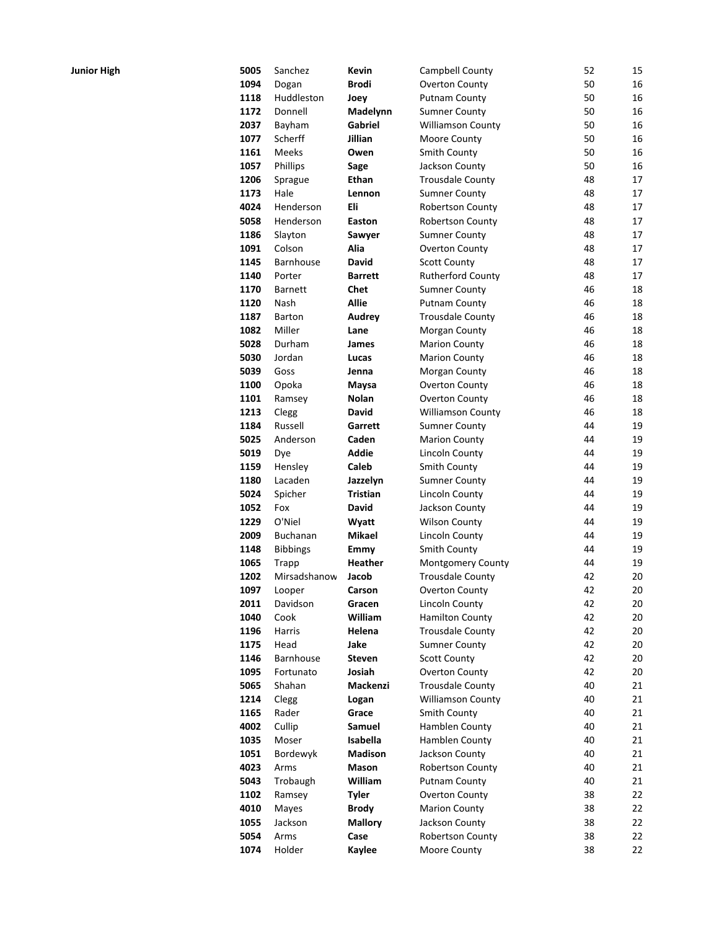| <b>Junior High</b> | 5005 | Sanchez          | Kevin          | Campbell County          | 52 | 15 |
|--------------------|------|------------------|----------------|--------------------------|----|----|
|                    | 1094 |                  | <b>Brodi</b>   | <b>Overton County</b>    | 50 | 16 |
|                    |      | Dogan            |                |                          |    |    |
|                    | 1118 | Huddleston       | Joey           | <b>Putnam County</b>     | 50 | 16 |
|                    | 1172 | Donnell          | Madelynn       | <b>Sumner County</b>     | 50 | 16 |
|                    | 2037 | Bayham           | Gabriel        | Williamson County        | 50 | 16 |
|                    | 1077 | Scherff          | Jillian        | Moore County             | 50 | 16 |
|                    | 1161 | Meeks            | Owen           | <b>Smith County</b>      | 50 | 16 |
|                    | 1057 | Phillips         | Sage           | Jackson County           | 50 | 16 |
|                    | 1206 | Sprague          | Ethan          | <b>Trousdale County</b>  | 48 | 17 |
|                    | 1173 | Hale             | Lennon         | <b>Sumner County</b>     | 48 | 17 |
|                    | 4024 | Henderson        | Eli            | Robertson County         | 48 | 17 |
|                    | 5058 | Henderson        | Easton         | Robertson County         | 48 | 17 |
|                    | 1186 | Slayton          | Sawyer         | <b>Sumner County</b>     | 48 | 17 |
|                    | 1091 | Colson           | Alia           | Overton County           | 48 | 17 |
|                    | 1145 | <b>Barnhouse</b> | David          | <b>Scott County</b>      | 48 | 17 |
|                    | 1140 | Porter           | <b>Barrett</b> | Rutherford County        | 48 | 17 |
|                    | 1170 | <b>Barnett</b>   | Chet           | <b>Sumner County</b>     | 46 | 18 |
|                    | 1120 | Nash             | <b>Allie</b>   | <b>Putnam County</b>     | 46 | 18 |
|                    | 1187 | Barton           | <b>Audrey</b>  | <b>Trousdale County</b>  | 46 | 18 |
|                    | 1082 | Miller           | Lane           | Morgan County            | 46 | 18 |
|                    | 5028 | Durham           | James          | <b>Marion County</b>     | 46 | 18 |
|                    | 5030 | Jordan           | Lucas          | <b>Marion County</b>     | 46 | 18 |
|                    | 5039 | Goss             | Jenna          | Morgan County            | 46 | 18 |
|                    | 1100 | Opoka            | Maysa          | Overton County           | 46 | 18 |
|                    | 1101 | Ramsey           | Nolan          | Overton County           | 46 | 18 |
|                    | 1213 | Clegg            | David          | Williamson County        | 46 | 18 |
|                    | 1184 | Russell          | Garrett        | <b>Sumner County</b>     | 44 | 19 |
|                    | 5025 | Anderson         | Caden          | <b>Marion County</b>     | 44 | 19 |
|                    | 5019 | Dye              | Addie          | Lincoln County           | 44 | 19 |
|                    | 1159 | Hensley          | Caleb          | Smith County             | 44 | 19 |
|                    | 1180 | Lacaden          | Jazzelyn       | <b>Sumner County</b>     | 44 | 19 |
|                    | 5024 | Spicher          | Tristian       | Lincoln County           | 44 | 19 |
|                    | 1052 | Fox              | David          | Jackson County           | 44 | 19 |
|                    | 1229 | O'Niel           | Wyatt          | <b>Wilson County</b>     | 44 | 19 |
|                    | 2009 | Buchanan         | Mikael         | Lincoln County           | 44 | 19 |
|                    | 1148 | <b>Bibbings</b>  | Emmy           | Smith County             | 44 | 19 |
|                    | 1065 | Trapp            | Heather        | Montgomery County        | 44 | 19 |
|                    | 1202 | Mirsadshanow     | Jacob          | <b>Trousdale County</b>  | 42 | 20 |
|                    | 1097 | Looper           | Carson         | Overton County           | 42 | 20 |
|                    | 2011 | Davidson         | Gracen         | Lincoln County           | 42 | 20 |
|                    | 1040 | Cook             | William        | <b>Hamilton County</b>   | 42 | 20 |
|                    | 1196 | Harris           | Helena         | <b>Trousdale County</b>  | 42 | 20 |
|                    | 1175 | Head             | Jake           | <b>Sumner County</b>     | 42 | 20 |
|                    | 1146 | Barnhouse        | <b>Steven</b>  | <b>Scott County</b>      | 42 | 20 |
|                    | 1095 | Fortunato        | Josiah         | Overton County           | 42 | 20 |
|                    | 5065 | Shahan           | Mackenzi       | <b>Trousdale County</b>  | 40 | 21 |
|                    | 1214 | Clegg            | Logan          | <b>Williamson County</b> | 40 | 21 |
|                    | 1165 | Rader            | Grace          | Smith County             | 40 | 21 |
|                    | 4002 | Cullip           | Samuel         | Hamblen County           | 40 | 21 |
|                    | 1035 | Moser            | Isabella       | Hamblen County           | 40 | 21 |
|                    | 1051 | Bordewyk         | Madison        | Jackson County           | 40 | 21 |
|                    | 4023 | Arms             | Mason          | Robertson County         | 40 | 21 |
|                    | 5043 | Trobaugh         | William        | <b>Putnam County</b>     | 40 | 21 |
|                    | 1102 | Ramsey           | <b>Tyler</b>   | Overton County           | 38 | 22 |
|                    | 4010 | Mayes            | <b>Brody</b>   | <b>Marion County</b>     | 38 | 22 |
|                    | 1055 | Jackson          | <b>Mallory</b> | Jackson County           | 38 | 22 |
|                    | 5054 | Arms             | Case           | Robertson County         | 38 | 22 |
|                    | 1074 | Holder           | Kaylee         | Moore County             | 38 | 22 |
|                    |      |                  |                |                          |    |    |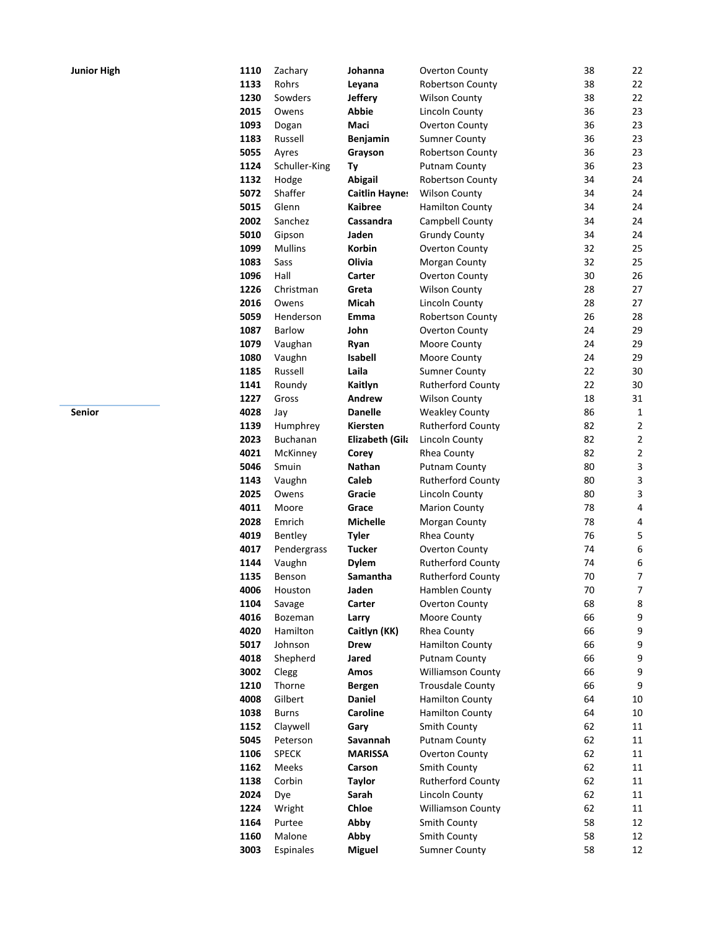| Junior High | 1110 | Zachary        | Johanna               | <b>Overton County</b>    | 38 | 22                      |
|-------------|------|----------------|-----------------------|--------------------------|----|-------------------------|
|             | 1133 | Rohrs          | Leyana                | <b>Robertson County</b>  | 38 | 22                      |
|             | 1230 | Sowders        | <b>Jeffery</b>        | <b>Wilson County</b>     | 38 | 22                      |
|             | 2015 | Owens          | <b>Abbie</b>          | Lincoln County           | 36 | 23                      |
|             | 1093 | Dogan          | Maci                  | <b>Overton County</b>    | 36 | 23                      |
|             | 1183 | Russell        | <b>Benjamin</b>       | <b>Sumner County</b>     | 36 | 23                      |
|             | 5055 | Ayres          | Grayson               | Robertson County         | 36 | 23                      |
|             | 1124 | Schuller-King  | Ty                    | <b>Putnam County</b>     | 36 | 23                      |
|             | 1132 | Hodge          | <b>Abigail</b>        | Robertson County         | 34 | 24                      |
|             | 5072 | Shaffer        | <b>Caitlin Haynes</b> | <b>Wilson County</b>     | 34 | 24                      |
|             | 5015 | Glenn          | <b>Kaibree</b>        | <b>Hamilton County</b>   | 34 | 24                      |
|             | 2002 | Sanchez        | Cassandra             | Campbell County          | 34 | 24                      |
|             | 5010 | Gipson         | Jaden                 | <b>Grundy County</b>     | 34 | 24                      |
|             | 1099 | <b>Mullins</b> | Korbin                | Overton County           | 32 | 25                      |
|             | 1083 | Sass           | Olivia                | Morgan County            | 32 | 25                      |
|             | 1096 | Hall           | Carter                | Overton County           | 30 | 26                      |
|             | 1226 | Christman      | Greta                 | <b>Wilson County</b>     | 28 | 27                      |
|             | 2016 | Owens          | Micah                 | Lincoln County           | 28 | 27                      |
|             | 5059 | Henderson      | Emma                  | Robertson County         | 26 | 28                      |
|             | 1087 | Barlow         | John                  | <b>Overton County</b>    | 24 | 29                      |
|             | 1079 | Vaughan        | Ryan                  | Moore County             | 24 | 29                      |
|             | 1080 | Vaughn         | <b>Isabell</b>        | Moore County             | 24 | 29                      |
|             | 1185 | Russell        | Laila                 | <b>Sumner County</b>     | 22 | 30                      |
|             | 1141 | Roundy         | Kaitlyn               | Rutherford County        | 22 | 30                      |
|             | 1227 | Gross          | Andrew                | <b>Wilson County</b>     | 18 | 31                      |
| Senior      | 4028 | Jay            | <b>Danelle</b>        | <b>Weakley County</b>    | 86 | $\mathbf{1}$            |
|             | 1139 | Humphrey       | Kiersten              | Rutherford County        | 82 | $\overline{\mathbf{c}}$ |
|             | 2023 | Buchanan       | Elizabeth (Gila       | Lincoln County           | 82 | $\overline{\mathbf{c}}$ |
|             | 4021 | McKinney       | Corey                 | Rhea County              | 82 | $\overline{\mathbf{c}}$ |
|             | 5046 | Smuin          | Nathan                | <b>Putnam County</b>     | 80 | 3                       |
|             | 1143 | Vaughn         | Caleb                 | <b>Rutherford County</b> | 80 | 3                       |
|             | 2025 | Owens          | Gracie                | Lincoln County           | 80 | 3                       |
|             | 4011 | Moore          | Grace                 | <b>Marion County</b>     | 78 | 4                       |
|             | 2028 | Emrich         | <b>Michelle</b>       | Morgan County            | 78 | 4                       |
|             | 4019 | Bentley        | <b>Tyler</b>          | Rhea County              | 76 | 5                       |
|             | 4017 | Pendergrass    | <b>Tucker</b>         | Overton County           | 74 | 6                       |
|             | 1144 | Vaughn         | <b>Dylem</b>          | <b>Rutherford County</b> | 74 | 6                       |
|             | 1135 | Benson         | Samantha              | <b>Rutherford County</b> | 70 | 7                       |
|             | 4006 | Houston        | Jaden                 | Hamblen County           | 70 | 7                       |
|             | 1104 | Savage         | Carter                | Overton County           | 68 | 8                       |
|             | 4016 | Bozeman        | Larry                 | Moore County             | 66 | 9                       |
|             | 4020 | Hamilton       | Caitlyn (KK)          | Rhea County              | 66 | 9                       |
|             | 5017 | Johnson        | Drew                  | Hamilton County          | 66 | 9                       |
|             | 4018 | Shepherd       | Jared                 | <b>Putnam County</b>     | 66 | 9                       |
|             | 3002 | Clegg          | Amos                  | <b>Williamson County</b> | 66 | 9                       |
|             | 1210 | Thorne         | <b>Bergen</b>         | <b>Trousdale County</b>  | 66 | 9                       |
|             | 4008 | Gilbert        | Daniel                | <b>Hamilton County</b>   | 64 | 10                      |
|             | 1038 | <b>Burns</b>   | <b>Caroline</b>       | <b>Hamilton County</b>   | 64 | 10                      |
|             | 1152 | Claywell       | Gary                  | Smith County             | 62 | 11                      |
|             | 5045 | Peterson       | Savannah              | <b>Putnam County</b>     | 62 | 11                      |
|             | 1106 | <b>SPECK</b>   | <b>MARISSA</b>        | Overton County           | 62 | 11                      |
|             | 1162 | Meeks          | Carson                | <b>Smith County</b>      | 62 | 11                      |
|             | 1138 | Corbin         | <b>Taylor</b>         | <b>Rutherford County</b> | 62 | 11                      |
|             | 2024 | Dye            | Sarah                 | Lincoln County           | 62 | 11                      |
|             | 1224 | Wright         | Chloe                 | <b>Williamson County</b> | 62 | 11                      |
|             | 1164 | Purtee         | Abby                  | Smith County             | 58 | 12                      |
|             | 1160 | Malone         | Abby                  | Smith County             | 58 | 12                      |
|             | 3003 | Espinales      | <b>Miguel</b>         | <b>Sumner County</b>     | 58 | 12                      |
|             |      |                |                       |                          |    |                         |